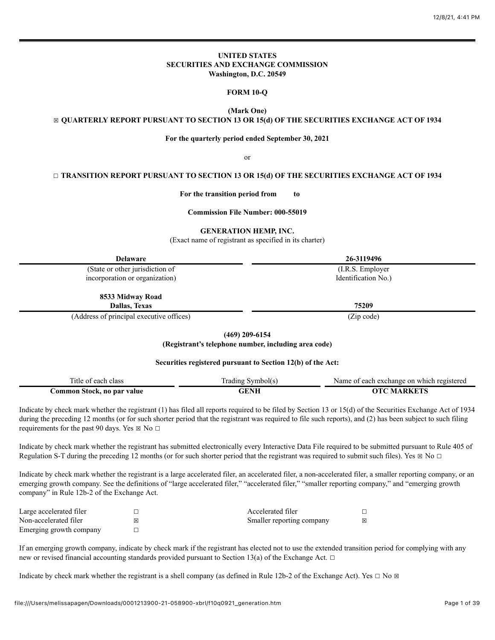# **UNITED STATES SECURITIES AND EXCHANGE COMMISSION Washington, D.C. 20549**

# **FORM 10-Q**

**(Mark One)**

☒ **QUARTERLY REPORT PURSUANT TO SECTION 13 OR 15(d) OF THE SECURITIES EXCHANGE ACT OF 1934**

### **For the quarterly period ended September 30, 2021**

or

## ☐ **TRANSITION REPORT PURSUANT TO SECTION 13 OR 15(d) OF THE SECURITIES EXCHANGE ACT OF 1934**

**For the transition period from to**

**Commission File Number: 000-55019**

# **GENERATION HEMP, INC.**

(Exact name of registrant as specified in its charter)

| <b>Delaware</b>                   | 26-3119496          |  |  |
|-----------------------------------|---------------------|--|--|
| (State or other jurisdiction of   | (I.R.S. Employer)   |  |  |
| incorporation or organization)    | Identification No.) |  |  |
| 8533 Midway Road<br>Dallas, Texas | 75209               |  |  |

(Address of principal executive offices) (Zip code)

**(469) 209-6154**

**(Registrant's telephone number, including area code)**

#### **Securities registered pursuant to Section 12(b) of the Act:**

| m.<br>itle of<br>class<br>each | rading<br>Symbol(s) | r each exchange on which registered<br>Name of |
|--------------------------------|---------------------|------------------------------------------------|
| Common Stock, no par value     | :ENH<br>тви         |                                                |

Indicate by check mark whether the registrant (1) has filed all reports required to be filed by Section 13 or 15(d) of the Securities Exchange Act of 1934 during the preceding 12 months (or for such shorter period that the registrant was required to file such reports), and (2) has been subject to such filing requirements for the past 90 days. Yes  $\boxtimes$  No  $\Box$ 

Indicate by check mark whether the registrant has submitted electronically every Interactive Data File required to be submitted pursuant to Rule 405 of Regulation S-T during the preceding 12 months (or for such shorter period that the registrant was required to submit such files). Yes  $\boxtimes$  No  $\Box$ 

Indicate by check mark whether the registrant is a large accelerated filer, an accelerated filer, a non-accelerated filer, a smaller reporting company, or an emerging growth company. See the definitions of "large accelerated filer," "accelerated filer," "smaller reporting company," and "emerging growth company" in Rule 12b-2 of the Exchange Act.

| Large accelerated filer |   | Accelerated filer         |   |
|-------------------------|---|---------------------------|---|
| Non-accelerated filer   | × | Smaller reporting company | X |
| Emerging growth company |   |                           |   |

If an emerging growth company, indicate by check mark if the registrant has elected not to use the extended transition period for complying with any new or revised financial accounting standards provided pursuant to Section 13(a) of the Exchange Act.  $\Box$ 

Indicate by check mark whether the registrant is a shell company (as defined in Rule 12b-2 of the Exchange Act). Yes  $\Box$  No  $\boxtimes$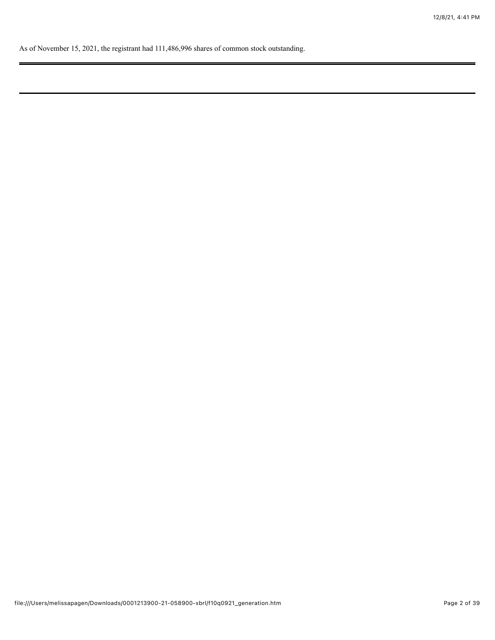As of November 15, 2021, the registrant had 111,486,996 shares of common stock outstanding.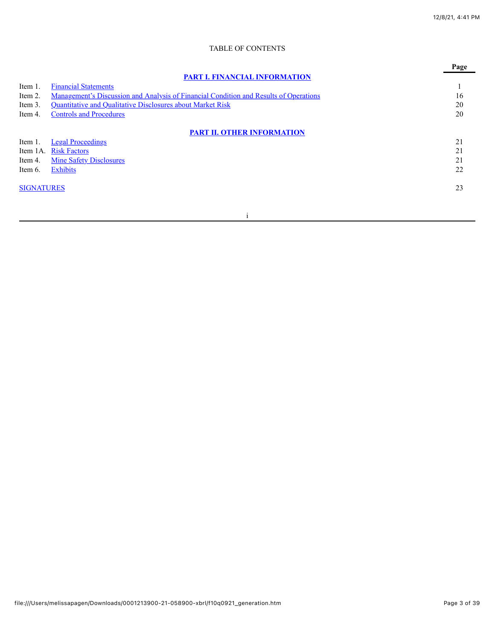# TABLE OF CONTENTS

|                   |                                                                                              | Page |
|-------------------|----------------------------------------------------------------------------------------------|------|
|                   | <b>PART I. FINANCIAL INFORMATION</b>                                                         |      |
| Item 1.           | <b>Financial Statements</b>                                                                  |      |
| Item 2.           | <u>Management's Discussion and Analysis of Financial Condition and Results of Operations</u> | 16   |
| Item 3.           | Quantitative and Qualitative Disclosures about Market Risk                                   | 20   |
| Item 4.           | <b>Controls and Procedures</b>                                                               | 20   |
|                   |                                                                                              |      |
|                   | <b>PART II. OTHER INFORMATION</b>                                                            |      |
| Item 1.           | <b>Legal Proceedings</b>                                                                     | 21   |
| Item 1A.          | <b>Risk Factors</b>                                                                          | 21   |
| Item 4.           | <b>Mine Safety Disclosures</b>                                                               | 21   |
| Item 6.           | <b>Exhibits</b>                                                                              | 22   |
|                   |                                                                                              |      |
| <b>SIGNATURES</b> |                                                                                              | 23   |
|                   |                                                                                              |      |

i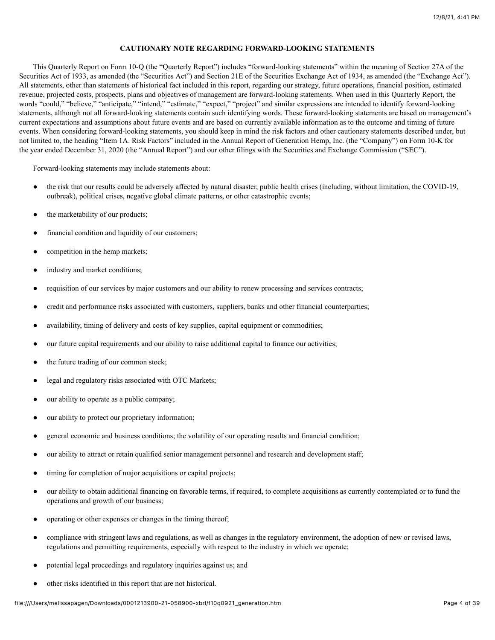# **CAUTIONARY NOTE REGARDING FORWARD-LOOKING STATEMENTS**

This Quarterly Report on Form 10-Q (the "Quarterly Report") includes "forward-looking statements" within the meaning of Section 27A of the Securities Act of 1933, as amended (the "Securities Act") and Section 21E of the Securities Exchange Act of 1934, as amended (the "Exchange Act"). All statements, other than statements of historical fact included in this report, regarding our strategy, future operations, financial position, estimated revenue, projected costs, prospects, plans and objectives of management are forward-looking statements. When used in this Quarterly Report, the words "could," "believe," "anticipate," "intend," "estimate," "expect," "project" and similar expressions are intended to identify forward-looking statements, although not all forward-looking statements contain such identifying words. These forward-looking statements are based on management's current expectations and assumptions about future events and are based on currently available information as to the outcome and timing of future events. When considering forward-looking statements, you should keep in mind the risk factors and other cautionary statements described under, but not limited to, the heading "Item 1A. Risk Factors" included in the Annual Report of Generation Hemp, Inc. (the "Company") on Form 10-K for the year ended December 31, 2020 (the "Annual Report") and our other filings with the Securities and Exchange Commission ("SEC").

Forward-looking statements may include statements about:

- the risk that our results could be adversely affected by natural disaster, public health crises (including, without limitation, the COVID-19, outbreak), political crises, negative global climate patterns, or other catastrophic events;
- the marketability of our products;
- financial condition and liquidity of our customers;
- competition in the hemp markets;
- industry and market conditions;
- requisition of our services by major customers and our ability to renew processing and services contracts;
- credit and performance risks associated with customers, suppliers, banks and other financial counterparties;
- availability, timing of delivery and costs of key supplies, capital equipment or commodities;
- our future capital requirements and our ability to raise additional capital to finance our activities;
- the future trading of our common stock;
- legal and regulatory risks associated with OTC Markets;
- our ability to operate as a public company;
- our ability to protect our proprietary information;
- general economic and business conditions; the volatility of our operating results and financial condition;
- our ability to attract or retain qualified senior management personnel and research and development staff;
- timing for completion of major acquisitions or capital projects;
- our ability to obtain additional financing on favorable terms, if required, to complete acquisitions as currently contemplated or to fund the operations and growth of our business;
- operating or other expenses or changes in the timing thereof;
- compliance with stringent laws and regulations, as well as changes in the regulatory environment, the adoption of new or revised laws, regulations and permitting requirements, especially with respect to the industry in which we operate;
- potential legal proceedings and regulatory inquiries against us; and
- other risks identified in this report that are not historical.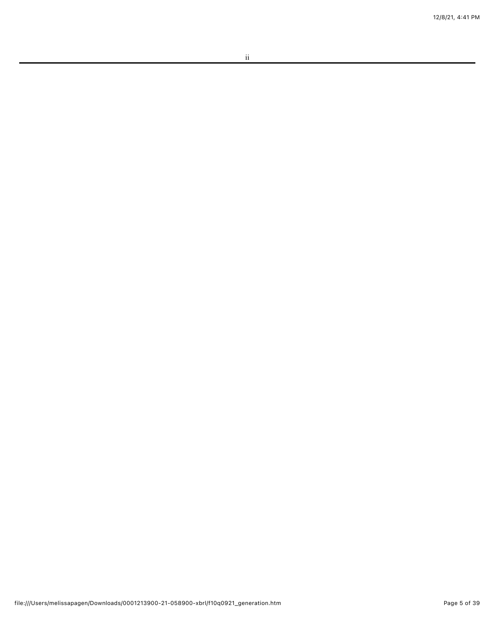12/8/21, 4:41 PM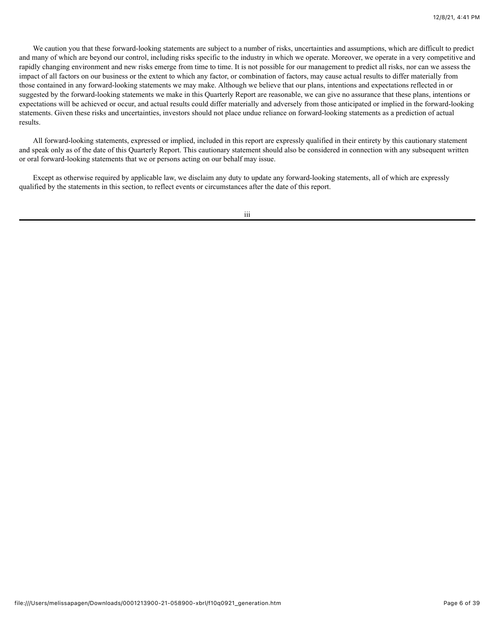We caution you that these forward-looking statements are subject to a number of risks, uncertainties and assumptions, which are difficult to predict and many of which are beyond our control, including risks specific to the industry in which we operate. Moreover, we operate in a very competitive and rapidly changing environment and new risks emerge from time to time. It is not possible for our management to predict all risks, nor can we assess the impact of all factors on our business or the extent to which any factor, or combination of factors, may cause actual results to differ materially from those contained in any forward-looking statements we may make. Although we believe that our plans, intentions and expectations reflected in or suggested by the forward-looking statements we make in this Quarterly Report are reasonable, we can give no assurance that these plans, intentions or expectations will be achieved or occur, and actual results could differ materially and adversely from those anticipated or implied in the forward-looking statements. Given these risks and uncertainties, investors should not place undue reliance on forward-looking statements as a prediction of actual results.

All forward-looking statements, expressed or implied, included in this report are expressly qualified in their entirety by this cautionary statement and speak only as of the date of this Quarterly Report. This cautionary statement should also be considered in connection with any subsequent written or oral forward-looking statements that we or persons acting on our behalf may issue.

Except as otherwise required by applicable law, we disclaim any duty to update any forward-looking statements, all of which are expressly qualified by the statements in this section, to reflect events or circumstances after the date of this report.

iii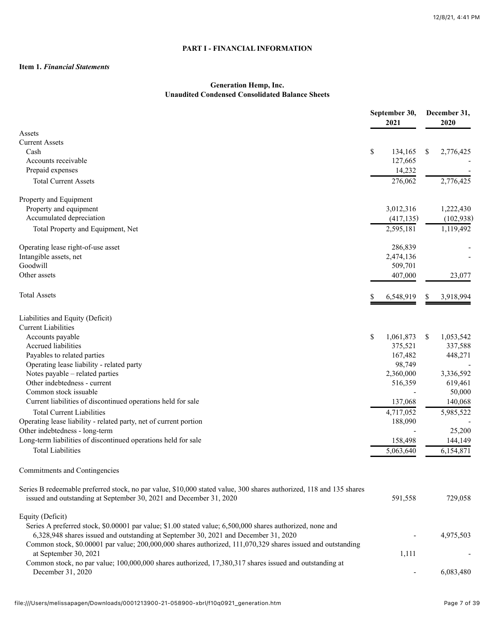# **PART I - FINANCIAL INFORMATION**

# <span id="page-6-1"></span><span id="page-6-0"></span>**Item 1.** *Financial Statements*

### **Generation Hemp, Inc. Unaudited Condensed Consolidated Balance Sheets**

|                                                                                                                                                                                                  |                                                                       | September 30,<br>2021 |    | December 31,<br>2020 |
|--------------------------------------------------------------------------------------------------------------------------------------------------------------------------------------------------|-----------------------------------------------------------------------|-----------------------|----|----------------------|
| Assets                                                                                                                                                                                           |                                                                       |                       |    |                      |
| <b>Current Assets</b>                                                                                                                                                                            |                                                                       |                       |    |                      |
| Cash                                                                                                                                                                                             | $\mathbb{S}% _{t}\left( t\right) \equiv\mathbb{S}_{t}\left( t\right)$ | 134,165               | S  | 2,776,425            |
| Accounts receivable                                                                                                                                                                              |                                                                       | 127,665               |    |                      |
| Prepaid expenses                                                                                                                                                                                 |                                                                       | 14,232                |    |                      |
| <b>Total Current Assets</b>                                                                                                                                                                      |                                                                       | 276,062               |    | 2,776,425            |
| Property and Equipment                                                                                                                                                                           |                                                                       |                       |    |                      |
| Property and equipment                                                                                                                                                                           |                                                                       | 3,012,316             |    | 1,222,430            |
| Accumulated depreciation                                                                                                                                                                         |                                                                       | (417, 135)            |    | (102, 938)           |
| Total Property and Equipment, Net                                                                                                                                                                |                                                                       | 2,595,181             |    | 1,119,492            |
| Operating lease right-of-use asset                                                                                                                                                               |                                                                       | 286,839               |    |                      |
| Intangible assets, net                                                                                                                                                                           |                                                                       | 2,474,136             |    |                      |
| Goodwill                                                                                                                                                                                         |                                                                       | 509,701               |    |                      |
| Other assets                                                                                                                                                                                     |                                                                       | 407,000               |    | 23,077               |
| <b>Total Assets</b>                                                                                                                                                                              | S                                                                     | 6,548,919             | S  | 3,918,994            |
| Liabilities and Equity (Deficit)                                                                                                                                                                 |                                                                       |                       |    |                      |
| <b>Current Liabilities</b>                                                                                                                                                                       |                                                                       |                       |    |                      |
| Accounts payable                                                                                                                                                                                 | \$                                                                    | 1,061,873             | \$ | 1,053,542            |
| Accrued liabilities                                                                                                                                                                              |                                                                       | 375,521               |    | 337,588              |
| Payables to related parties                                                                                                                                                                      |                                                                       | 167,482               |    | 448,271              |
| Operating lease liability - related party                                                                                                                                                        |                                                                       | 98,749                |    |                      |
| Notes payable - related parties                                                                                                                                                                  |                                                                       | 2,360,000             |    | 3,336,592            |
| Other indebtedness - current                                                                                                                                                                     |                                                                       | 516,359               |    | 619,461              |
| Common stock issuable                                                                                                                                                                            |                                                                       |                       |    | 50,000               |
| Current liabilities of discontinued operations held for sale                                                                                                                                     |                                                                       | 137,068               |    | 140,068              |
| <b>Total Current Liabilities</b>                                                                                                                                                                 |                                                                       | 4,717,052             |    | 5,985,522            |
| Operating lease liability - related party, net of current portion                                                                                                                                |                                                                       | 188,090               |    |                      |
| Other indebtedness - long-term                                                                                                                                                                   |                                                                       |                       |    | 25,200               |
| Long-term liabilities of discontinued operations held for sale                                                                                                                                   |                                                                       | 158,498               |    | 144,149              |
| <b>Total Liabilities</b>                                                                                                                                                                         |                                                                       | 5,063,640             |    | 6,154,871            |
| Commitments and Contingencies                                                                                                                                                                    |                                                                       |                       |    |                      |
| Series B redeemable preferred stock, no par value, \$10,000 stated value, 300 shares authorized, 118 and 135 shares<br>issued and outstanding at September 30, 2021 and December 31, 2020        |                                                                       | 591,558               |    | 729,058              |
| Equity (Deficit)                                                                                                                                                                                 |                                                                       |                       |    |                      |
| Series A preferred stock, \$0.00001 par value; \$1.00 stated value; 6,500,000 shares authorized, none and<br>6,328,948 shares issued and outstanding at September 30, 2021 and December 31, 2020 |                                                                       |                       |    | 4,975,503            |
| Common stock, \$0.00001 par value; 200,000,000 shares authorized, 111,070,329 shares issued and outstanding                                                                                      |                                                                       |                       |    |                      |
| at September 30, 2021                                                                                                                                                                            |                                                                       | 1,111                 |    |                      |
| Common stock, no par value; 100,000,000 shares authorized, 17,380,317 shares issued and outstanding at                                                                                           |                                                                       |                       |    |                      |
| December 31, 2020                                                                                                                                                                                |                                                                       |                       |    | 6,083,480            |
|                                                                                                                                                                                                  |                                                                       |                       |    |                      |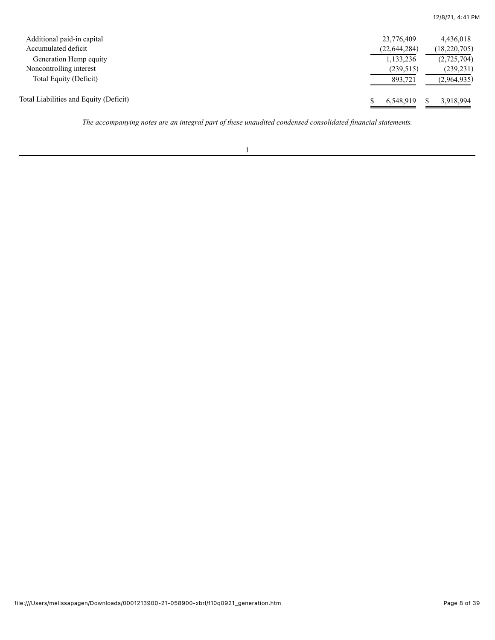|  | 12/8/21, 4:41 PM |  |
|--|------------------|--|
|  |                  |  |

| Additional paid-in capital             | 23,776,409     | 4,436,018    |
|----------------------------------------|----------------|--------------|
| Accumulated deficit                    | (22, 644, 284) | (18,220,705) |
| Generation Hemp equity                 | 1,133,236      | (2,725,704)  |
| Noncontrolling interest                | (239, 515)     | (239, 231)   |
| Total Equity (Deficit)                 | 893,721        | (2,964,935)  |
| Total Liabilities and Equity (Deficit) | 6,548,919      | 3,918,994    |

*The accompanying notes are an integral part of these unaudited condensed consolidated financial statements.*

1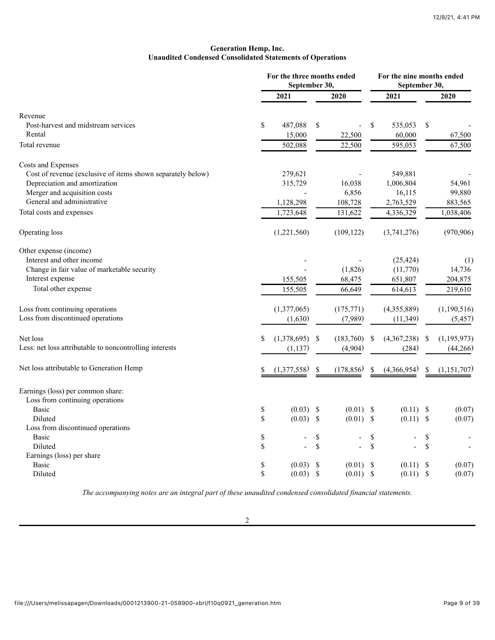# **Generation Hemp, Inc. Unaudited Condensed Consolidated Statements of Operations**

|                                                             | For the three months ended<br>September 30, |                           |             | For the nine months ended<br>September 30, |                |               |                |
|-------------------------------------------------------------|---------------------------------------------|---------------------------|-------------|--------------------------------------------|----------------|---------------|----------------|
|                                                             | 2021                                        |                           | 2020        |                                            | 2021           |               | 2020           |
| Revenue                                                     |                                             |                           |             |                                            |                |               |                |
| Post-harvest and midstream services                         | \$<br>487,088                               | \$                        |             | \$                                         | 535,053        | \$            |                |
| Rental                                                      | 15,000                                      |                           | 22,500      |                                            | 60,000         |               | 67,500         |
| Total revenue                                               | 502,088                                     |                           | 22,500      |                                            | 595,053        |               | 67,500         |
| Costs and Expenses                                          |                                             |                           |             |                                            |                |               |                |
| Cost of revenue (exclusive of items shown separately below) | 279,621                                     |                           |             |                                            | 549,881        |               |                |
| Depreciation and amortization                               | 315,729                                     |                           | 16,038      |                                            | 1,006,804      |               | 54,961         |
| Merger and acquisition costs                                |                                             |                           | 6,856       |                                            | 16,115         |               | 99,880         |
| General and administrative                                  | 1,128,298                                   |                           | 108,728     |                                            | 2,763,529      |               | 883,565        |
| Total costs and expenses                                    | 1,723,648                                   |                           | 131,622     |                                            | 4,336,329      |               | 1,038,406      |
| Operating loss                                              | (1,221,560)                                 |                           | (109, 122)  |                                            | (3,741,276)    |               | (970, 906)     |
| Other expense (income)                                      |                                             |                           |             |                                            |                |               |                |
| Interest and other income                                   |                                             |                           |             |                                            | (25, 424)      |               | (1)            |
| Change in fair value of marketable security                 |                                             |                           | (1, 826)    |                                            | (11,770)       |               | 14,736         |
| Interest expense                                            | 155,505                                     |                           | 68,475      |                                            | 651,807        |               | 204,875        |
| Total other expense                                         | 155,505                                     |                           | 66,649      |                                            | 614,613        |               | 219,610        |
| Loss from continuing operations                             | (1,377,065)                                 |                           | (175, 771)  |                                            | (4,355,889)    |               | (1,190,516)    |
| Loss from discontinued operations                           | (1,630)                                     |                           | (7,989)     |                                            | (11, 349)      |               | (5, 457)       |
| Net loss                                                    | $(1,378,695)$ \$                            |                           | (183,760)   | <sup>8</sup>                               | (4,367,238)    | <sup>\$</sup> | (1,195,973)    |
| Less: net loss attributable to noncontrolling interests     | (1, 137)                                    |                           | (4,904)     |                                            | (284)          |               | (44, 266)      |
| Net loss attributable to Generation Hemp                    | \$<br>(1,377,558)                           | \$                        | (178, 856)  | S                                          | (4,366,954)    | \$            | (1,151,707)    |
| Earnings (loss) per common share:                           |                                             |                           |             |                                            |                |               |                |
| Loss from continuing operations                             |                                             |                           |             |                                            |                |               |                |
| <b>Basic</b>                                                | \$<br>(0.03)                                | $\boldsymbol{\mathsf{S}}$ | $(0.01)$ \$ |                                            | $(0.11)$ \$    |               | (0.07)         |
| Diluted                                                     | \$<br>(0.03)                                | \$                        | (0.01)      | \$                                         | (0.11)         | \$            | (0.07)         |
| Loss from discontinued operations                           |                                             |                           |             |                                            |                |               |                |
| <b>Basic</b>                                                | \$                                          | \$                        |             | \$                                         |                | \$            |                |
| Diluted                                                     | \$<br>÷,                                    | \$                        |             | \$                                         | $\blacksquare$ | \$            | $\overline{a}$ |
| Earnings (loss) per share                                   |                                             |                           |             |                                            |                |               |                |
| <b>Basic</b>                                                | \$<br>(0.03)                                | \$                        | (0.01)      | \$                                         | (0.11)         | \$            | (0.07)         |
| Diluted                                                     | \$<br>(0.03)                                | \$                        | (0.01)      | $\mathbb{S}$                               | $(0.11)$ \$    |               | (0.07)         |

*The accompanying notes are an integral part of these unaudited condensed consolidated financial statements.*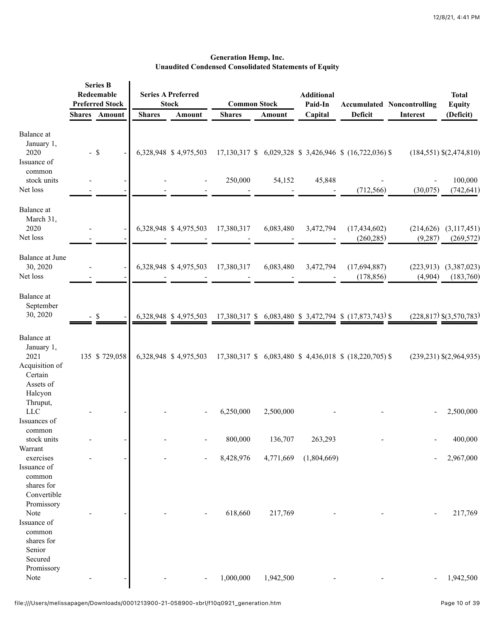# **Generation Hemp, Inc. Unaudited Condensed Consolidated Statements of Equity**

|                                                                                                  | <b>Series B</b><br>Redeemable<br><b>Preferred Stock</b> |                      | <b>Series A Preferred</b><br><b>Stock</b> |                       |               | <b>Common Stock</b> |                    |                                                         | <b>Accumulated Noncontrolling</b> | <b>Total</b><br><b>Equity</b>   |
|--------------------------------------------------------------------------------------------------|---------------------------------------------------------|----------------------|-------------------------------------------|-----------------------|---------------|---------------------|--------------------|---------------------------------------------------------|-----------------------------------|---------------------------------|
|                                                                                                  |                                                         | <b>Shares</b> Amount | <b>Shares</b>                             | Amount                | <b>Shares</b> | Amount              | Paid-In<br>Capital | <b>Deficit</b>                                          | Interest                          | (Deficit)                       |
| Balance at<br>January 1,<br>2020<br>Issuance of<br>common                                        |                                                         | $-$ \$               |                                           | 6,328,948 \$4,975,503 |               |                     |                    | 17,130,317 \$ 6,029,328 \$ 3,426,946 \$ (16,722,036) \$ |                                   | $(184, 551)$ \$ $(2, 474, 810)$ |
| stock units<br>Net loss                                                                          |                                                         |                      |                                           |                       | 250,000       | 54,152              | 45,848             | (712, 566)                                              | (30,075)                          | 100,000<br>(742, 641)           |
| Balance at<br>March 31,<br>2020<br>Net loss                                                      |                                                         |                      |                                           | 6,328,948 \$4,975,503 | 17,380,317    | 6,083,480           | 3,472,794          | (17, 434, 602)<br>(260, 285)                            | (214, 626)<br>(9, 287)            | (3,117,451)<br>(269, 572)       |
| Balance at June<br>30, 2020<br>Net loss                                                          |                                                         |                      |                                           | 6,328,948 \$4,975,503 | 17,380,317    | 6,083,480           | 3,472,794          | (17,694,887)<br>(178, 856)                              | (223, 913)<br>(4,904)             | (3,387,023)<br>(183,760)        |
| Balance at<br>September<br>30, 2020                                                              |                                                         | - \$                 |                                           | 6,328,948 \$4,975,503 |               |                     |                    | 17,380,317 \$ 6,083,480 \$ 3,472,794 \$ (17,873,743) \$ |                                   | $(228,817)$ \$ $(3,570,783)$    |
| Balance at<br>January 1,<br>2021<br>Acquisition of<br>Certain                                    |                                                         | 135 \$729,058        |                                           | 6,328,948 \$4,975,503 |               |                     |                    | 17,380,317 \$ 6,083,480 \$ 4,436,018 \$ (18,220,705) \$ |                                   | $(239, 231)$ \$ $(2, 964, 935)$ |
| Assets of<br>Halcyon<br>Thruput,<br><b>LLC</b><br>Issuances of                                   |                                                         |                      |                                           |                       | 6,250,000     | 2,500,000           |                    |                                                         |                                   | 2,500,000                       |
| common<br>stock units<br>Warrant                                                                 |                                                         |                      |                                           |                       | 800,000       | 136,707             | 263,293            |                                                         |                                   | 400,000                         |
| exercises<br>Issuance of<br>common                                                               |                                                         |                      |                                           |                       | 8,428,976     | 4,771,669           | (1,804,669)        |                                                         |                                   | 2,967,000                       |
| shares for<br>Convertible<br>Promissory<br>Note<br>Issuance of<br>common<br>shares for<br>Senior |                                                         |                      |                                           |                       | 618,660       | 217,769             |                    |                                                         |                                   | 217,769                         |
| Secured<br>Promissory<br>Note                                                                    |                                                         |                      |                                           |                       | 1,000,000     | 1,942,500           |                    |                                                         |                                   | 1,942,500                       |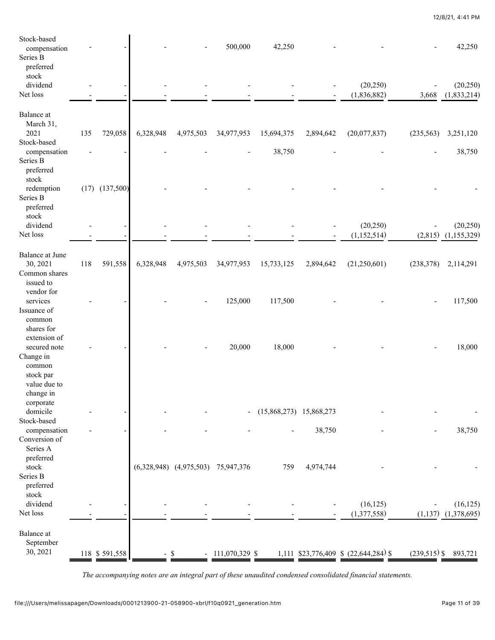| Stock-based            |     |                    |           |                             |                   |                           |           |                                         |                |                         |
|------------------------|-----|--------------------|-----------|-----------------------------|-------------------|---------------------------|-----------|-----------------------------------------|----------------|-------------------------|
| compensation           |     |                    |           |                             | 500,000           | 42,250                    |           |                                         |                | 42,250                  |
| Series B               |     |                    |           |                             |                   |                           |           |                                         |                |                         |
| preferred              |     |                    |           |                             |                   |                           |           |                                         |                |                         |
| stock                  |     |                    |           |                             |                   |                           |           |                                         |                |                         |
| dividend               |     |                    |           |                             |                   |                           |           | (20, 250)                               |                | (20, 250)               |
| Net loss               |     |                    |           |                             |                   |                           |           | (1,836,882)                             | 3,668          | (1,833,214)             |
|                        |     |                    |           |                             |                   |                           |           |                                         |                |                         |
| Balance at             |     |                    |           |                             |                   |                           |           |                                         |                |                         |
| March 31,              |     |                    |           |                             |                   |                           |           |                                         |                |                         |
| 2021                   | 135 | 729,058            | 6,328,948 | 4,975,503                   | 34,977,953        | 15,694,375                | 2,894,642 | (20,077,837)                            | (235, 563)     | 3,251,120               |
| Stock-based            |     |                    |           |                             |                   |                           |           |                                         |                |                         |
| compensation           |     |                    |           |                             |                   | 38,750                    |           |                                         |                | 38,750                  |
| Series B               |     |                    |           |                             |                   |                           |           |                                         |                |                         |
| preferred              |     |                    |           |                             |                   |                           |           |                                         |                |                         |
| stock                  |     |                    |           |                             |                   |                           |           |                                         |                |                         |
| redemption             |     | $(17)$ $(137,500)$ |           |                             |                   |                           |           |                                         |                |                         |
| Series B               |     |                    |           |                             |                   |                           |           |                                         |                |                         |
| preferred              |     |                    |           |                             |                   |                           |           |                                         |                |                         |
| stock                  |     |                    |           |                             |                   |                           |           |                                         |                |                         |
| dividend               |     |                    |           |                             |                   |                           |           | (20, 250)                               |                | (20, 250)               |
| Net loss               |     |                    |           |                             |                   |                           |           | (1, 152, 514)                           |                | $(2,815)$ $(1,155,329)$ |
|                        |     |                    |           |                             |                   |                           |           |                                         |                |                         |
| <b>Balance</b> at June |     |                    |           |                             |                   |                           |           |                                         |                |                         |
| 30, 2021               | 118 | 591,558            | 6,328,948 | 4,975,503                   | 34,977,953        | 15,733,125                | 2,894,642 | (21, 250, 601)                          | (238, 378)     | 2,114,291               |
| Common shares          |     |                    |           |                             |                   |                           |           |                                         |                |                         |
| issued to              |     |                    |           |                             |                   |                           |           |                                         |                |                         |
| vendor for             |     |                    |           |                             |                   |                           |           |                                         |                |                         |
| services               |     |                    |           |                             | 125,000           | 117,500                   |           |                                         |                | 117,500                 |
| Issuance of            |     |                    |           |                             |                   |                           |           |                                         |                |                         |
| common                 |     |                    |           |                             |                   |                           |           |                                         |                |                         |
| shares for             |     |                    |           |                             |                   |                           |           |                                         |                |                         |
| extension of           |     |                    |           |                             |                   |                           |           |                                         |                |                         |
| secured note           |     |                    |           |                             | 20,000            | 18,000                    |           |                                         |                | 18,000                  |
| Change in              |     |                    |           |                             |                   |                           |           |                                         |                |                         |
| common                 |     |                    |           |                             |                   |                           |           |                                         |                |                         |
| stock par              |     |                    |           |                             |                   |                           |           |                                         |                |                         |
| value due to           |     |                    |           |                             |                   |                           |           |                                         |                |                         |
| change in              |     |                    |           |                             |                   |                           |           |                                         |                |                         |
| corporate              |     |                    |           |                             |                   |                           |           |                                         |                |                         |
| domicile               |     |                    |           |                             |                   | $(15,868,273)$ 15,868,273 |           |                                         |                |                         |
| Stock-based            |     |                    |           |                             |                   |                           |           |                                         |                |                         |
| compensation           |     |                    |           |                             |                   |                           | 38,750    |                                         | $\blacksquare$ | 38,750                  |
| Conversion of          |     |                    |           |                             |                   |                           |           |                                         |                |                         |
| Series A               |     |                    |           |                             |                   |                           |           |                                         |                |                         |
| preferred              |     |                    |           |                             |                   |                           |           |                                         |                |                         |
| stock                  |     |                    |           | $(6,328,948)$ $(4,975,503)$ | 75,947,376        | 759                       | 4,974,744 |                                         |                |                         |
| Series B               |     |                    |           |                             |                   |                           |           |                                         |                |                         |
| preferred              |     |                    |           |                             |                   |                           |           |                                         |                |                         |
| stock                  |     |                    |           |                             |                   |                           |           |                                         |                |                         |
| dividend               |     |                    |           |                             |                   |                           |           | (16, 125)                               |                | (16, 125)               |
| Net loss               |     |                    |           |                             |                   |                           |           | (1,377,558)                             |                | $(1,137)$ $(1,378,695)$ |
|                        |     |                    |           |                             |                   |                           |           |                                         |                |                         |
| Balance at             |     |                    |           |                             |                   |                           |           |                                         |                |                         |
| September              |     |                    |           |                             |                   |                           |           |                                         |                |                         |
| 30, 2021               |     | 118 \$591,558      | $-$ \$    |                             | $-111,070,329$ \$ |                           |           | 1,111 $$23,776,409 \$$ (22,644,284) \\$ | $(239,515)$ \$ | 893,721                 |
|                        |     |                    |           |                             |                   |                           |           |                                         |                |                         |

*The accompanying notes are an integral part of these unaudited condensed consolidated financial statements.*

12/8/21, 4:41 PM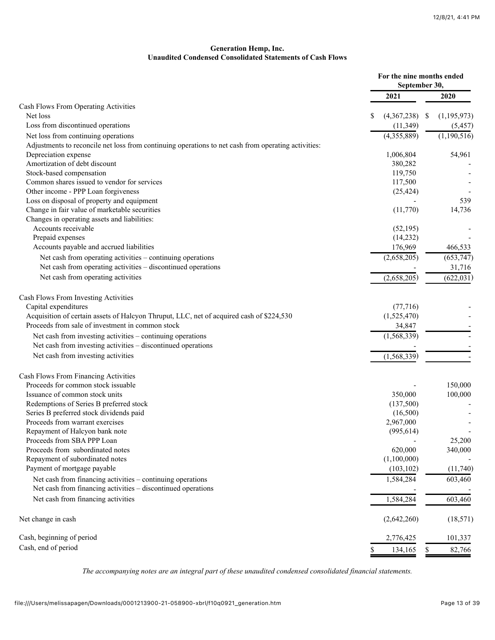# **Generation Hemp, Inc. Unaudited Condensed Consolidated Statements of Cash Flows**

|                                                                                                     | For the nine months ended<br>September 30, |                     |
|-----------------------------------------------------------------------------------------------------|--------------------------------------------|---------------------|
|                                                                                                     | 2021                                       | 2020                |
| Cash Flows From Operating Activities                                                                |                                            |                     |
| Net loss                                                                                            | (4,367,238)<br>S                           | (1, 195, 973)<br>-S |
| Loss from discontinued operations                                                                   | (11, 349)                                  | (5, 457)            |
| Net loss from continuing operations                                                                 | (4,355,889)                                | (1,190,516)         |
| Adjustments to reconcile net loss from continuing operations to net cash from operating activities: |                                            |                     |
| Depreciation expense                                                                                | 1,006,804                                  | 54,961              |
| Amortization of debt discount                                                                       | 380,282                                    |                     |
| Stock-based compensation                                                                            | 119,750                                    |                     |
| Common shares issued to vendor for services                                                         | 117,500                                    |                     |
| Other income - PPP Loan forgiveness                                                                 | (25, 424)                                  |                     |
| Loss on disposal of property and equipment                                                          |                                            | 539                 |
| Change in fair value of marketable securities                                                       | (11,770)                                   | 14,736              |
| Changes in operating assets and liabilities:                                                        |                                            |                     |
| Accounts receivable                                                                                 | (52, 195)                                  |                     |
| Prepaid expenses                                                                                    | (14,232)                                   |                     |
| Accounts payable and accrued liabilities                                                            | 176,969                                    | 466,533             |
| Net cash from operating activities – continuing operations                                          | (2,658,205)                                | (653, 747)          |
| Net cash from operating activities – discontinued operations                                        |                                            | 31,716              |
| Net cash from operating activities                                                                  | (2,658,205)                                | (622, 031)          |
|                                                                                                     |                                            |                     |
| Cash Flows From Investing Activities                                                                |                                            |                     |
| Capital expenditures                                                                                | (77, 716)                                  |                     |
| Acquisition of certain assets of Halcyon Thruput, LLC, net of acquired cash of \$224,530            | (1,525,470)                                |                     |
| Proceeds from sale of investment in common stock                                                    | 34,847                                     |                     |
| Net cash from investing activities – continuing operations                                          | (1, 568, 339)                              |                     |
| Net cash from investing activities – discontinued operations                                        |                                            |                     |
| Net cash from investing activities                                                                  | (1, 568, 339)                              |                     |
| Cash Flows From Financing Activities                                                                |                                            |                     |
| Proceeds for common stock issuable                                                                  |                                            | 150,000             |
| Issuance of common stock units                                                                      | 350,000                                    | 100,000             |
| Redemptions of Series B preferred stock                                                             | (137,500)                                  |                     |
| Series B preferred stock dividends paid                                                             | (16,500)                                   |                     |
| Proceeds from warrant exercises                                                                     | 2,967,000                                  |                     |
| Repayment of Halcyon bank note                                                                      | (995, 614)                                 |                     |
| Proceeds from SBA PPP Loan                                                                          |                                            | 25,200              |
| Proceeds from subordinated notes                                                                    | 620,000                                    | 340,000             |
| Repayment of subordinated notes                                                                     | (1,100,000)                                |                     |
| Payment of mortgage payable                                                                         | (103, 102)                                 | (11,740)            |
| Net cash from financing activities – continuing operations                                          | 1,584,284                                  | 603,460             |
| Net cash from financing activities – discontinued operations                                        |                                            |                     |
| Net cash from financing activities                                                                  | 1,584,284                                  | 603,460             |
|                                                                                                     |                                            |                     |
| Net change in cash                                                                                  | (2,642,260)                                | (18, 571)           |
| Cash, beginning of period                                                                           | 2,776,425                                  | 101,337             |
| Cash, end of period                                                                                 | 134,165<br>\$                              | 82,766              |

*The accompanying notes are an integral part of these unaudited condensed consolidated financial statements.*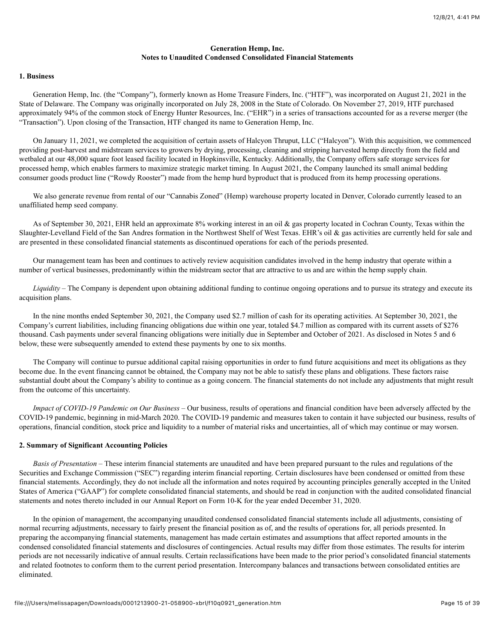## **Generation Hemp, Inc. Notes to Unaudited Condensed Consolidated Financial Statements**

## **1. Business**

Generation Hemp, Inc. (the "Company"), formerly known as Home Treasure Finders, Inc. ("HTF"), was incorporated on August 21, 2021 in the State of Delaware. The Company was originally incorporated on July 28, 2008 in the State of Colorado. On November 27, 2019, HTF purchased approximately 94% of the common stock of Energy Hunter Resources, Inc. ("EHR") in a series of transactions accounted for as a reverse merger (the "Transaction"). Upon closing of the Transaction, HTF changed its name to Generation Hemp, Inc.

On January 11, 2021, we completed the acquisition of certain assets of Halcyon Thruput, LLC ("Halcyon"). With this acquisition, we commenced providing post-harvest and midstream services to growers by drying, processing, cleaning and stripping harvested hemp directly from the field and wetbaled at our 48,000 square foot leased facility located in Hopkinsville, Kentucky. Additionally, the Company offers safe storage services for processed hemp, which enables farmers to maximize strategic market timing. In August 2021, the Company launched its small animal bedding consumer goods product line ("Rowdy Rooster") made from the hemp hurd byproduct that is produced from its hemp processing operations.

We also generate revenue from rental of our "Cannabis Zoned" (Hemp) warehouse property located in Denver, Colorado currently leased to an unaffiliated hemp seed company.

As of September 30, 2021, EHR held an approximate 8% working interest in an oil & gas property located in Cochran County, Texas within the Slaughter-Levelland Field of the San Andres formation in the Northwest Shelf of West Texas. EHR's oil & gas activities are currently held for sale and are presented in these consolidated financial statements as discontinued operations for each of the periods presented.

Our management team has been and continues to actively review acquisition candidates involved in the hemp industry that operate within a number of vertical businesses, predominantly within the midstream sector that are attractive to us and are within the hemp supply chain.

*Liquidity –* The Company is dependent upon obtaining additional funding to continue ongoing operations and to pursue its strategy and execute its acquisition plans.

In the nine months ended September 30, 2021, the Company used \$2.7 million of cash for its operating activities. At September 30, 2021, the Company's current liabilities, including financing obligations due within one year, totaled \$4.7 million as compared with its current assets of \$276 thousand. Cash payments under several financing obligations were initially due in September and October of 2021. As disclosed in Notes 5 and 6 below, these were subsequently amended to extend these payments by one to six months.

The Company will continue to pursue additional capital raising opportunities in order to fund future acquisitions and meet its obligations as they become due. In the event financing cannot be obtained, the Company may not be able to satisfy these plans and obligations. These factors raise substantial doubt about the Company's ability to continue as a going concern. The financial statements do not include any adjustments that might result from the outcome of this uncertainty.

*Impact of COVID-19 Pandemic on Our Business –* Our business, results of operations and financial condition have been adversely affected by the COVID-19 pandemic, beginning in mid-March 2020. The COVID-19 pandemic and measures taken to contain it have subjected our business, results of operations, financial condition, stock price and liquidity to a number of material risks and uncertainties, all of which may continue or may worsen.

### **2. Summary of Significant Accounting Policies**

*Basis of Presentation* – These interim financial statements are unaudited and have been prepared pursuant to the rules and regulations of the Securities and Exchange Commission ("SEC") regarding interim financial reporting. Certain disclosures have been condensed or omitted from these financial statements. Accordingly, they do not include all the information and notes required by accounting principles generally accepted in the United States of America ("GAAP") for complete consolidated financial statements, and should be read in conjunction with the audited consolidated financial statements and notes thereto included in our Annual Report on Form 10-K for the year ended December 31, 2020.

In the opinion of management, the accompanying unaudited condensed consolidated financial statements include all adjustments, consisting of normal recurring adjustments, necessary to fairly present the financial position as of, and the results of operations for, all periods presented. In preparing the accompanying financial statements, management has made certain estimates and assumptions that affect reported amounts in the condensed consolidated financial statements and disclosures of contingencies. Actual results may differ from those estimates. The results for interim periods are not necessarily indicative of annual results. Certain reclassifications have been made to the prior period's consolidated financial statements and related footnotes to conform them to the current period presentation. Intercompany balances and transactions between consolidated entities are eliminated.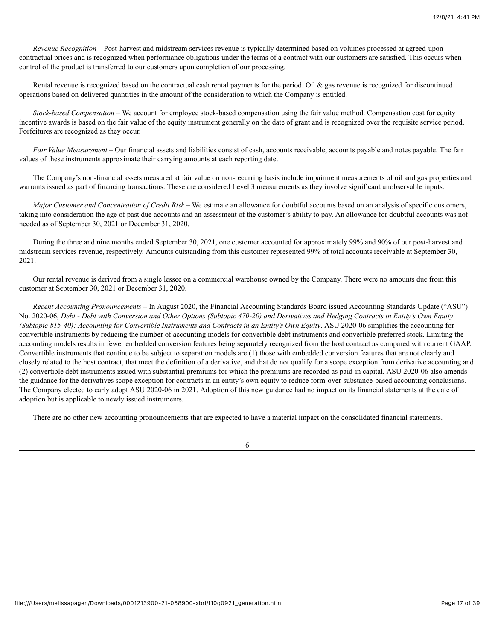*Revenue Recognition* – Post-harvest and midstream services revenue is typically determined based on volumes processed at agreed-upon contractual prices and is recognized when performance obligations under the terms of a contract with our customers are satisfied. This occurs when control of the product is transferred to our customers upon completion of our processing.

Rental revenue is recognized based on the contractual cash rental payments for the period. Oil  $\&$  gas revenue is recognized for discontinued operations based on delivered quantities in the amount of the consideration to which the Company is entitled.

*Stock-based Compensation –* We account for employee stock-based compensation using the fair value method. Compensation cost for equity incentive awards is based on the fair value of the equity instrument generally on the date of grant and is recognized over the requisite service period. Forfeitures are recognized as they occur.

*Fair Value Measurement* – Our financial assets and liabilities consist of cash, accounts receivable, accounts payable and notes payable. The fair values of these instruments approximate their carrying amounts at each reporting date.

The Company's non-financial assets measured at fair value on non-recurring basis include impairment measurements of oil and gas properties and warrants issued as part of financing transactions. These are considered Level 3 measurements as they involve significant unobservable inputs.

*Major Customer and Concentration of Credit Risk* – We estimate an allowance for doubtful accounts based on an analysis of specific customers, taking into consideration the age of past due accounts and an assessment of the customer's ability to pay. An allowance for doubtful accounts was not needed as of September 30, 2021 or December 31, 2020.

During the three and nine months ended September 30, 2021, one customer accounted for approximately 99% and 90% of our post-harvest and midstream services revenue, respectively. Amounts outstanding from this customer represented 99% of total accounts receivable at September 30, 2021.

Our rental revenue is derived from a single lessee on a commercial warehouse owned by the Company. There were no amounts due from this customer at September 30, 2021 or December 31, 2020.

*Recent Accounting Pronouncements –* In August 2020, the Financial Accounting Standards Board issued Accounting Standards Update ("ASU") No. 2020-06, *Debt - Debt with Conversion and Other Options (Subtopic 470-20) and Derivatives and Hedging Contracts in Entity's Own Equity (Subtopic 815-40): Accounting for Convertible Instruments and Contracts in an Entity's Own Equity*. ASU 2020-06 simplifies the accounting for convertible instruments by reducing the number of accounting models for convertible debt instruments and convertible preferred stock. Limiting the accounting models results in fewer embedded conversion features being separately recognized from the host contract as compared with current GAAP. Convertible instruments that continue to be subject to separation models are (1) those with embedded conversion features that are not clearly and closely related to the host contract, that meet the definition of a derivative, and that do not qualify for a scope exception from derivative accounting and (2) convertible debt instruments issued with substantial premiums for which the premiums are recorded as paid-in capital. ASU 2020-06 also amends the guidance for the derivatives scope exception for contracts in an entity's own equity to reduce form-over-substance-based accounting conclusions. The Company elected to early adopt ASU 2020-06 in 2021. Adoption of this new guidance had no impact on its financial statements at the date of adoption but is applicable to newly issued instruments.

There are no other new accounting pronouncements that are expected to have a material impact on the consolidated financial statements.

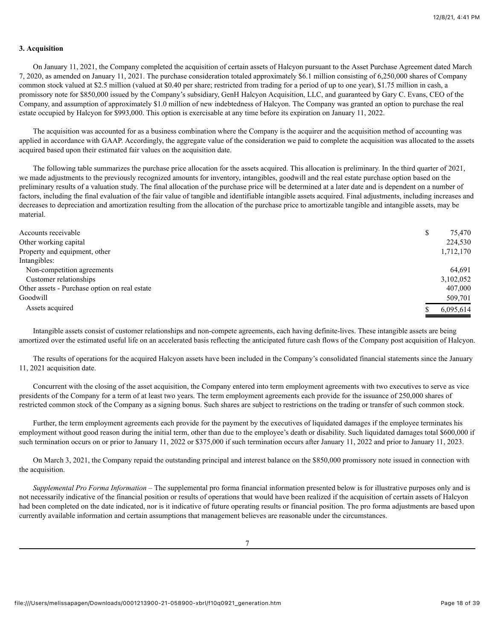### **3. Acquisition**

On January 11, 2021, the Company completed the acquisition of certain assets of Halcyon pursuant to the Asset Purchase Agreement dated March 7, 2020, as amended on January 11, 2021. The purchase consideration totaled approximately \$6.1 million consisting of 6,250,000 shares of Company common stock valued at \$2.5 million (valued at \$0.40 per share; restricted from trading for a period of up to one year), \$1.75 million in cash, a promissory note for \$850,000 issued by the Company's subsidiary, GenH Halcyon Acquisition, LLC, and guaranteed by Gary C. Evans, CEO of the Company, and assumption of approximately \$1.0 million of new indebtedness of Halcyon. The Company was granted an option to purchase the real estate occupied by Halcyon for \$993,000. This option is exercisable at any time before its expiration on January 11, 2022.

The acquisition was accounted for as a business combination where the Company is the acquirer and the acquisition method of accounting was applied in accordance with GAAP. Accordingly, the aggregate value of the consideration we paid to complete the acquisition was allocated to the assets acquired based upon their estimated fair values on the acquisition date.

The following table summarizes the purchase price allocation for the assets acquired. This allocation is preliminary. In the third quarter of 2021, we made adjustments to the previously recognized amounts for inventory, intangibles, goodwill and the real estate purchase option based on the preliminary results of a valuation study. The final allocation of the purchase price will be determined at a later date and is dependent on a number of factors, including the final evaluation of the fair value of tangible and identifiable intangible assets acquired. Final adjustments, including increases and decreases to depreciation and amortization resulting from the allocation of the purchase price to amortizable tangible and intangible assets, may be material.

| Accounts receivable                           | D | 75,470    |
|-----------------------------------------------|---|-----------|
| Other working capital                         |   | 224,530   |
| Property and equipment, other                 |   | 1,712,170 |
| Intangibles:                                  |   |           |
| Non-competition agreements                    |   | 64.691    |
| Customer relationships                        |   | 3,102,052 |
| Other assets - Purchase option on real estate |   | 407,000   |
| Goodwill                                      |   | 509,701   |
| Assets acquired                               |   | 6,095,614 |

Intangible assets consist of customer relationships and non-compete agreements, each having definite-lives. These intangible assets are being amortized over the estimated useful life on an accelerated basis reflecting the anticipated future cash flows of the Company post acquisition of Halcyon.

The results of operations for the acquired Halcyon assets have been included in the Company's consolidated financial statements since the January 11, 2021 acquisition date.

Concurrent with the closing of the asset acquisition, the Company entered into term employment agreements with two executives to serve as vice presidents of the Company for a term of at least two years. The term employment agreements each provide for the issuance of 250,000 shares of restricted common stock of the Company as a signing bonus. Such shares are subject to restrictions on the trading or transfer of such common stock.

Further, the term employment agreements each provide for the payment by the executives of liquidated damages if the employee terminates his employment without good reason during the initial term, other than due to the employee's death or disability. Such liquidated damages total \$600,000 if such termination occurs on or prior to January 11, 2022 or \$375,000 if such termination occurs after January 11, 2022 and prior to January 11, 2023.

On March 3, 2021, the Company repaid the outstanding principal and interest balance on the \$850,000 promissory note issued in connection with the acquisition.

*Supplemental Pro Forma Information* – The supplemental pro forma financial information presented below is for illustrative purposes only and is not necessarily indicative of the financial position or results of operations that would have been realized if the acquisition of certain assets of Halcyon had been completed on the date indicated, nor is it indicative of future operating results or financial position. The pro forma adjustments are based upon currently available information and certain assumptions that management believes are reasonable under the circumstances.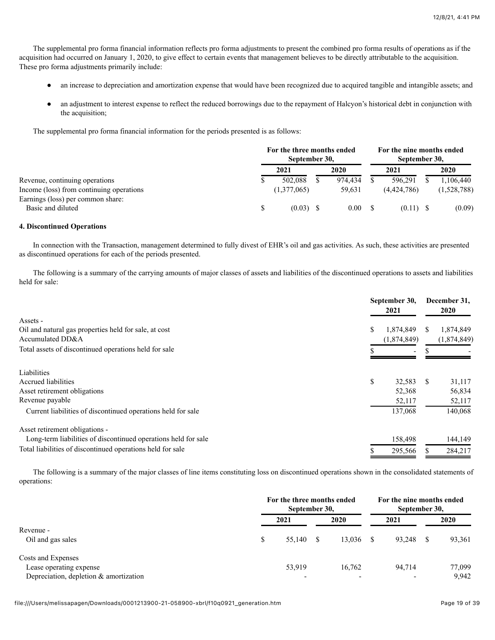The supplemental pro forma financial information reflects pro forma adjustments to present the combined pro forma results of operations as if the acquisition had occurred on January 1, 2020, to give effect to certain events that management believes to be directly attributable to the acquisition. These pro forma adjustments primarily include:

- an increase to depreciation and amortization expense that would have been recognized due to acquired tangible and intangible assets; and
- an adjustment to interest expense to reflect the reduced borrowings due to the repayment of Halcyon's historical debt in conjunction with the acquisition;

The supplemental pro forma financial information for the periods presented is as follows:

|                                                                            | For the three months ended<br>September 30, |  |                   | For the nine months ended<br>September 30, |  |                          |  |
|----------------------------------------------------------------------------|---------------------------------------------|--|-------------------|--------------------------------------------|--|--------------------------|--|
|                                                                            | 2021                                        |  | 2020              | 2021                                       |  | 2020                     |  |
| Revenue, continuing operations<br>Income (loss) from continuing operations | 502,088<br>(1,377,065)                      |  | 974.434<br>59.631 | 596,291<br>(4.424.786)                     |  | 1,106,440<br>(1,528,788) |  |
| Earnings (loss) per common share:<br>Basic and diluted                     | \$<br>$(0.03)$ \$                           |  | 0.00              | $(0.11)$ \$                                |  | (0.09)                   |  |

## **4. Discontinued Operations**

In connection with the Transaction, management determined to fully divest of EHR's oil and gas activities. As such, these activities are presented as discontinued operations for each of the periods presented.

The following is a summary of the carrying amounts of major classes of assets and liabilities of the discontinued operations to assets and liabilities held for sale:

|                                                                |    | September 30,<br>2021    |   | December 31,<br>2020 |
|----------------------------------------------------------------|----|--------------------------|---|----------------------|
| Assets -                                                       |    |                          |   |                      |
| Oil and natural gas properties held for sale, at cost          | S  | 1,874,849                |   | 1,874,849            |
| Accumulated DD&A                                               |    | (1,874,849)              |   | (1,874,849)          |
| Total assets of discontinued operations held for sale          |    | $\overline{\phantom{a}}$ | S |                      |
| Liabilities                                                    |    |                          |   |                      |
| <b>Accrued liabilities</b>                                     | \$ | 32,583                   | S | 31,117               |
| Asset retirement obligations                                   |    | 52,368                   |   | 56,834               |
| Revenue payable                                                |    | 52,117                   |   | 52,117               |
| Current liabilities of discontinued operations held for sale   |    | 137,068                  |   | 140,068              |
| Asset retirement obligations -                                 |    |                          |   |                      |
| Long-term liabilities of discontinued operations held for sale |    | 158,498                  |   | 144,149              |
| Total liabilities of discontinued operations held for sale     |    | 295,566                  |   | 284,217              |

The following is a summary of the major classes of line items constituting loss on discontinued operations shown in the consolidated statements of operations:

|                                                                                            | For the three months ended<br>September 30, |        |   |        | For the nine months ended<br>September 30, |             |  |                 |
|--------------------------------------------------------------------------------------------|---------------------------------------------|--------|---|--------|--------------------------------------------|-------------|--|-----------------|
|                                                                                            |                                             | 2021   |   | 2020   |                                            | 2021        |  | 2020            |
| Revenue -<br>Oil and gas sales                                                             | \$                                          | 55,140 | S | 13.036 | \$.                                        | 93,248      |  | 93,361          |
| Costs and Expenses<br>Lease operating expense<br>Depreciation, depletion $\&$ amortization |                                             | 53,919 |   | 16,762 |                                            | 94,714<br>- |  | 77,099<br>9.942 |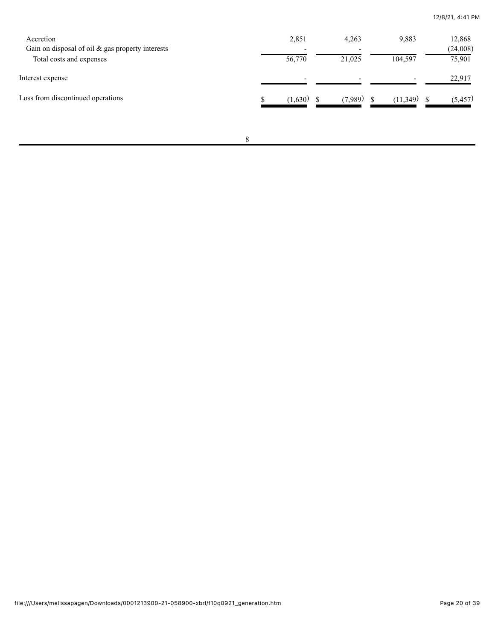| Accretion<br>Gain on disposal of oil & gas property interests<br>Total costs and expenses | 2,851<br>56,770 | 4.263<br>21,025 | 9,883<br>104,597 | 12,868<br>(24,008)<br>75,901 |
|-------------------------------------------------------------------------------------------|-----------------|-----------------|------------------|------------------------------|
| Interest expense                                                                          | -               |                 |                  | 22,917                       |
| Loss from discontinued operations                                                         | (1.630)         | (7.989)         | (11, 349)        | (5, 457)                     |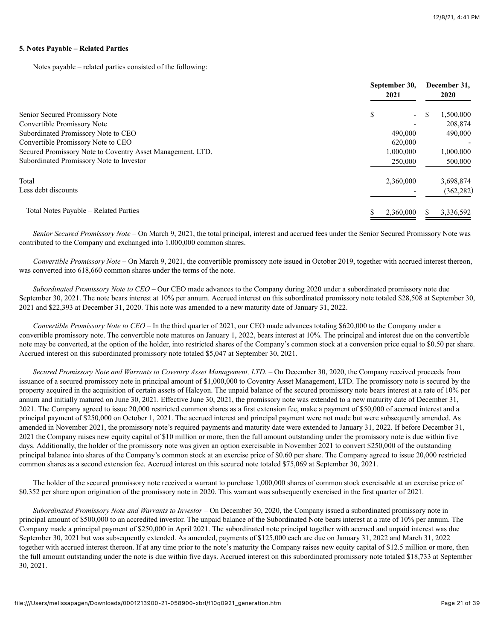### **5. Notes Payable – Related Parties**

Notes payable – related parties consisted of the following:

|                                                            | September 30,<br>2021 | December 31,<br>2020 |            |
|------------------------------------------------------------|-----------------------|----------------------|------------|
| Senior Secured Promissory Note                             | \$<br>$\blacksquare$  | S                    | 1,500,000  |
| Convertible Promissory Note                                |                       |                      | 208,874    |
| Subordinated Promissory Note to CEO                        | 490,000               |                      | 490,000    |
| Convertible Promissory Note to CEO                         | 620,000               |                      |            |
| Secured Promissory Note to Coventry Asset Management, LTD. | 1,000,000             |                      | 1,000,000  |
| Subordinated Promissory Note to Investor                   | 250,000               |                      | 500,000    |
| Total                                                      | 2,360,000             |                      | 3,698,874  |
| Less debt discounts                                        |                       |                      | (362, 282) |
| Total Notes Payable – Related Parties                      | 2,360,000             |                      | 3,336,592  |

*Senior Secured Promissory Note –* On March 9, 2021, the total principal, interest and accrued fees under the Senior Secured Promissory Note was contributed to the Company and exchanged into 1,000,000 common shares.

*Convertible Promissory Note –* On March 9, 2021, the convertible promissory note issued in October 2019, together with accrued interest thereon, was converted into 618,660 common shares under the terms of the note.

*Subordinated Promissory Note to CEO –* Our CEO made advances to the Company during 2020 under a subordinated promissory note due September 30, 2021. The note bears interest at 10% per annum. Accrued interest on this subordinated promissory note totaled \$28,508 at September 30, 2021 and \$22,393 at December 31, 2020. This note was amended to a new maturity date of January 31, 2022.

*Convertible Promissory Note to CEO* – In the third quarter of 2021, our CEO made advances totaling \$620,000 to the Company under a convertible promissory note. The convertible note matures on January 1, 2022, bears interest at 10%. The principal and interest due on the convertible note may be converted, at the option of the holder, into restricted shares of the Company's common stock at a conversion price equal to \$0.50 per share. Accrued interest on this subordinated promissory note totaled \$5,047 at September 30, 2021.

Secured Promissory Note and Warrants to Coventry Asset Management, LTD. - On December 30, 2020, the Company received proceeds from issuance of a secured promissory note in principal amount of \$1,000,000 to Coventry Asset Management, LTD. The promissory note is secured by the property acquired in the acquisition of certain assets of Halcyon. The unpaid balance of the secured promissory note bears interest at a rate of 10% per annum and initially matured on June 30, 2021. Effective June 30, 2021, the promissory note was extended to a new maturity date of December 31, 2021. The Company agreed to issue 20,000 restricted common shares as a first extension fee, make a payment of \$50,000 of accrued interest and a principal payment of \$250,000 on October 1, 2021. The accrued interest and principal payment were not made but were subsequently amended. As amended in November 2021, the promissory note's required payments and maturity date were extended to January 31, 2022. If before December 31, 2021 the Company raises new equity capital of \$10 million or more, then the full amount outstanding under the promissory note is due within five days. Additionally, the holder of the promissory note was given an option exercisable in November 2021 to convert \$250,000 of the outstanding principal balance into shares of the Company's common stock at an exercise price of \$0.60 per share. The Company agreed to issue 20,000 restricted common shares as a second extension fee. Accrued interest on this secured note totaled \$75,069 at September 30, 2021.

The holder of the secured promissory note received a warrant to purchase 1,000,000 shares of common stock exercisable at an exercise price of \$0.352 per share upon origination of the promissory note in 2020. This warrant was subsequently exercised in the first quarter of 2021.

*Subordinated Promissory Note and Warrants to Investor* – On December 30, 2020, the Company issued a subordinated promissory note in principal amount of \$500,000 to an accredited investor. The unpaid balance of the Subordinated Note bears interest at a rate of 10% per annum. The Company made a principal payment of \$250,000 in April 2021. The subordinated note principal together with accrued and unpaid interest was due September 30, 2021 but was subsequently extended. As amended, payments of \$125,000 each are due on January 31, 2022 and March 31, 2022 together with accrued interest thereon. If at any time prior to the note's maturity the Company raises new equity capital of \$12.5 million or more, then the full amount outstanding under the note is due within five days. Accrued interest on this subordinated promissory note totaled \$18,733 at September 30, 2021.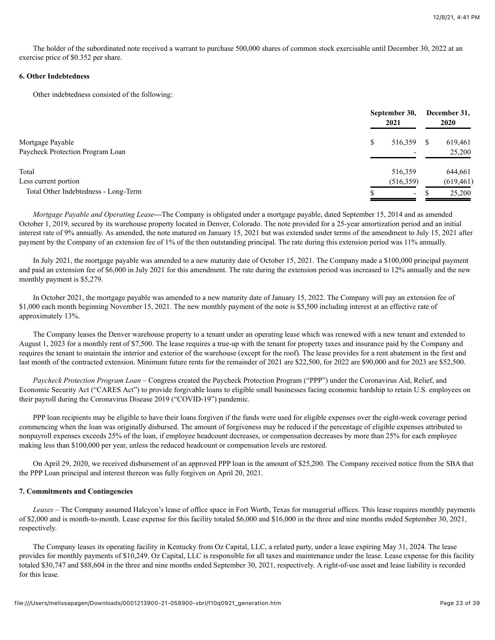The holder of the subordinated note received a warrant to purchase 500,000 shares of common stock exercisable until December 30, 2022 at an exercise price of \$0.352 per share.

## **6. Other Indebtedness**

Other indebtedness consisted of the following:

|                                      | September 30,<br>2021 |        | December 31,<br>2020 |            |  |
|--------------------------------------|-----------------------|--------|----------------------|------------|--|
| Mortgage Payable                     | 516,359<br>S          |        |                      | 619,461    |  |
| Paycheck Protection Program Loan     |                       |        |                      | 25,200     |  |
| Total                                | 516,359               |        |                      | 644,661    |  |
| Less current portion                 | (516, 359)            |        |                      | (619, 461) |  |
| Total Other Indebtedness - Long-Term |                       | $\sim$ |                      | 25,200     |  |

*Mortgage Payable and Operating Lease—*The Company is obligated under a mortgage payable, dated September 15, 2014 and as amended October 1, 2019, secured by its warehouse property located in Denver, Colorado. The note provided for a 25-year amortization period and an initial interest rate of 9% annually. As amended, the note matured on January 15, 2021 but was extended under terms of the amendment to July 15, 2021 after payment by the Company of an extension fee of 1% of the then outstanding principal. The rate during this extension period was 11% annually.

In July 2021, the mortgage payable was amended to a new maturity date of October 15, 2021. The Company made a \$100,000 principal payment and paid an extension fee of \$6,000 in July 2021 for this amendment. The rate during the extension period was increased to 12% annually and the new monthly payment is \$5,279.

In October 2021, the mortgage payable was amended to a new maturity date of January 15, 2022. The Company will pay an extension fee of \$1,000 each month beginning November 15, 2021. The new monthly payment of the note is \$5,500 including interest at an effective rate of approximately 13%.

The Company leases the Denver warehouse property to a tenant under an operating lease which was renewed with a new tenant and extended to August 1, 2023 for a monthly rent of \$7,500. The lease requires a true-up with the tenant for property taxes and insurance paid by the Company and requires the tenant to maintain the interior and exterior of the warehouse (except for the roof). The lease provides for a rent abatement in the first and last month of the contracted extension. Minimum future rents for the remainder of 2021 are \$22,500, for 2022 are \$90,000 and for 2023 are \$52,500.

*Paycheck Protection Program Loan –* Congress created the Paycheck Protection Program ("PPP") under the Coronavirus Aid, Relief, and Economic Security Act ("CARES Act") to provide forgivable loans to eligible small businesses facing economic hardship to retain U.S. employees on their payroll during the Coronavirus Disease 2019 ("COVID-19") pandemic.

PPP loan recipients may be eligible to have their loans forgiven if the funds were used for eligible expenses over the eight-week coverage period commencing when the loan was originally disbursed. The amount of forgiveness may be reduced if the percentage of eligible expenses attributed to nonpayroll expenses exceeds 25% of the loan, if employee headcount decreases, or compensation decreases by more than 25% for each employee making less than \$100,000 per year, unless the reduced headcount or compensation levels are restored.

On April 29, 2020, we received disbursement of an approved PPP loan in the amount of \$25,200. The Company received notice from the SBA that the PPP Loan principal and interest thereon was fully forgiven on April 20, 2021.

# **7. Commitments and Contingencies**

*Leases –* The Company assumed Halcyon's lease of office space in Fort Worth, Texas for managerial offices. This lease requires monthly payments of \$2,000 and is month-to-month. Lease expense for this facility totaled \$6,000 and \$16,000 in the three and nine months ended September 30, 2021, respectively.

The Company leases its operating facility in Kentucky from Oz Capital, LLC, a related party, under a lease expiring May 31, 2024. The lease provides for monthly payments of \$10,249. Oz Capital, LLC is responsible for all taxes and maintenance under the lease. Lease expense for this facility totaled \$30,747 and \$88,604 in the three and nine months ended September 30, 2021, respectively. A right-of-use asset and lease liability is recorded for this lease.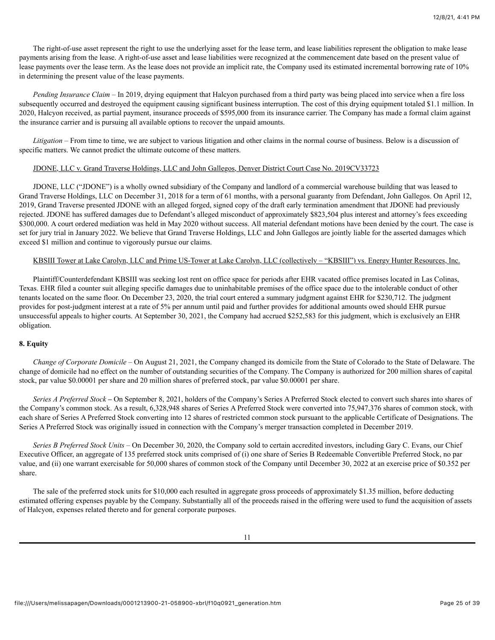The right-of-use asset represent the right to use the underlying asset for the lease term, and lease liabilities represent the obligation to make lease payments arising from the lease. A right-of-use asset and lease liabilities were recognized at the commencement date based on the present value of lease payments over the lease term. As the lease does not provide an implicit rate, the Company used its estimated incremental borrowing rate of 10% in determining the present value of the lease payments.

*Pending Insurance Claim –* In 2019, drying equipment that Halcyon purchased from a third party was being placed into service when a fire loss subsequently occurred and destroyed the equipment causing significant business interruption. The cost of this drying equipment totaled \$1.1 million. In 2020, Halcyon received, as partial payment, insurance proceeds of \$595,000 from its insurance carrier. The Company has made a formal claim against the insurance carrier and is pursuing all available options to recover the unpaid amounts.

*Litigation –* From time to time, we are subject to various litigation and other claims in the normal course of business. Below is a discussion of specific matters. We cannot predict the ultimate outcome of these matters.

# JDONE, LLC v. Grand Traverse Holdings, LLC and John Gallegos, Denver District Court Case No. 2019CV33723

JDONE, LLC ("JDONE") is a wholly owned subsidiary of the Company and landlord of a commercial warehouse building that was leased to Grand Traverse Holdings, LLC on December 31, 2018 for a term of 61 months, with a personal guaranty from Defendant, John Gallegos. On April 12, 2019, Grand Traverse presented JDONE with an alleged forged, signed copy of the draft early termination amendment that JDONE had previously rejected. JDONE has suffered damages due to Defendant's alleged misconduct of approximately \$823,504 plus interest and attorney's fees exceeding \$300,000. A court ordered mediation was held in May 2020 without success. All material defendant motions have been denied by the court. The case is set for jury trial in January 2022. We believe that Grand Traverse Holdings, LLC and John Gallegos are jointly liable for the asserted damages which exceed \$1 million and continue to vigorously pursue our claims.

## KBSIII Tower at Lake Carolyn, LLC and Prime US-Tower at Lake Carolyn, LLC (collectively – "KBSIII") vs. Energy Hunter Resources, Inc.

Plaintiff/Counterdefendant KBSIII was seeking lost rent on office space for periods after EHR vacated office premises located in Las Colinas, Texas. EHR filed a counter suit alleging specific damages due to uninhabitable premises of the office space due to the intolerable conduct of other tenants located on the same floor. On December 23, 2020, the trial court entered a summary judgment against EHR for \$230,712. The judgment provides for post-judgment interest at a rate of 5% per annum until paid and further provides for additional amounts owed should EHR pursue unsuccessful appeals to higher courts. At September 30, 2021, the Company had accrued \$252,583 for this judgment, which is exclusively an EHR obligation.

### **8. Equity**

*Change of Corporate Domicile* – On August 21, 2021, the Company changed its domicile from the State of Colorado to the State of Delaware. The change of domicile had no effect on the number of outstanding securities of the Company. The Company is authorized for 200 million shares of capital stock, par value \$0.00001 per share and 20 million shares of preferred stock, par value \$0.00001 per share.

*Series A Preferred Stock –* On September 8, 2021, holders of the Company's Series A Preferred Stock elected to convert such shares into shares of the Company's common stock. As a result, 6,328,948 shares of Series A Preferred Stock were converted into 75,947,376 shares of common stock, with each share of Series A Preferred Stock converting into 12 shares of restricted common stock pursuant to the applicable Certificate of Designations. The Series A Preferred Stock was originally issued in connection with the Company's merger transaction completed in December 2019.

*Series B Preferred Stock Units –* On December 30, 2020, the Company sold to certain accredited investors, including Gary C. Evans, our Chief Executive Officer, an aggregate of 135 preferred stock units comprised of (i) one share of Series B Redeemable Convertible Preferred Stock, no par value, and (ii) one warrant exercisable for 50,000 shares of common stock of the Company until December 30, 2022 at an exercise price of \$0.352 per share.

The sale of the preferred stock units for \$10,000 each resulted in aggregate gross proceeds of approximately \$1.35 million, before deducting estimated offering expenses payable by the Company. Substantially all of the proceeds raised in the offering were used to fund the acquisition of assets of Halcyon, expenses related thereto and for general corporate purposes.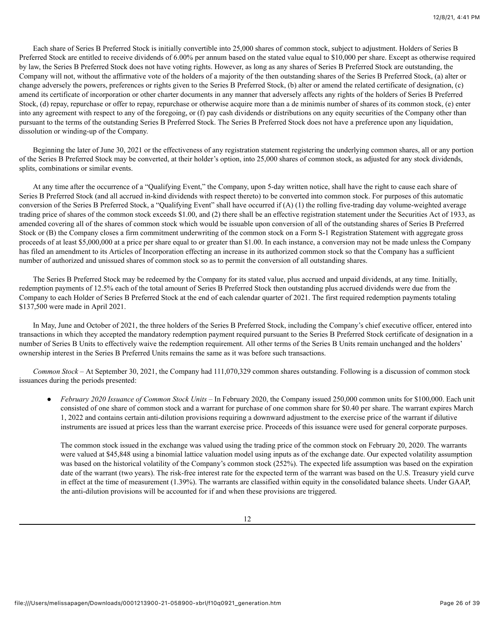Each share of Series B Preferred Stock is initially convertible into 25,000 shares of common stock, subject to adjustment. Holders of Series B Preferred Stock are entitled to receive dividends of 6.00% per annum based on the stated value equal to \$10,000 per share. Except as otherwise required by law, the Series B Preferred Stock does not have voting rights. However, as long as any shares of Series B Preferred Stock are outstanding, the Company will not, without the affirmative vote of the holders of a majority of the then outstanding shares of the Series B Preferred Stock, (a) alter or change adversely the powers, preferences or rights given to the Series B Preferred Stock, (b) alter or amend the related certificate of designation, (c) amend its certificate of incorporation or other charter documents in any manner that adversely affects any rights of the holders of Series B Preferred Stock, (d) repay, repurchase or offer to repay, repurchase or otherwise acquire more than a de minimis number of shares of its common stock, (e) enter into any agreement with respect to any of the foregoing, or (f) pay cash dividends or distributions on any equity securities of the Company other than pursuant to the terms of the outstanding Series B Preferred Stock. The Series B Preferred Stock does not have a preference upon any liquidation, dissolution or winding-up of the Company.

Beginning the later of June 30, 2021 or the effectiveness of any registration statement registering the underlying common shares, all or any portion of the Series B Preferred Stock may be converted, at their holder's option, into 25,000 shares of common stock, as adjusted for any stock dividends, splits, combinations or similar events.

At any time after the occurrence of a "Qualifying Event," the Company, upon 5-day written notice, shall have the right to cause each share of Series B Preferred Stock (and all accrued in-kind dividends with respect thereto) to be converted into common stock. For purposes of this automatic conversion of the Series B Preferred Stock, a "Qualifying Event" shall have occurred if (A) (1) the rolling five-trading day volume-weighted average trading price of shares of the common stock exceeds \$1.00, and (2) there shall be an effective registration statement under the Securities Act of 1933, as amended covering all of the shares of common stock which would be issuable upon conversion of all of the outstanding shares of Series B Preferred Stock or (B) the Company closes a firm commitment underwriting of the common stock on a Form S-1 Registration Statement with aggregate gross proceeds of at least \$5,000,000 at a price per share equal to or greater than \$1.00. In each instance, a conversion may not be made unless the Company has filed an amendment to its Articles of Incorporation effecting an increase in its authorized common stock so that the Company has a sufficient number of authorized and unissued shares of common stock so as to permit the conversion of all outstanding shares.

The Series B Preferred Stock may be redeemed by the Company for its stated value, plus accrued and unpaid dividends, at any time. Initially, redemption payments of 12.5% each of the total amount of Series B Preferred Stock then outstanding plus accrued dividends were due from the Company to each Holder of Series B Preferred Stock at the end of each calendar quarter of 2021. The first required redemption payments totaling \$137,500 were made in April 2021.

In May, June and October of 2021, the three holders of the Series B Preferred Stock, including the Company's chief executive officer, entered into transactions in which they accepted the mandatory redemption payment required pursuant to the Series B Preferred Stock certificate of designation in a number of Series B Units to effectively waive the redemption requirement. All other terms of the Series B Units remain unchanged and the holders' ownership interest in the Series B Preferred Units remains the same as it was before such transactions.

*Common Stock –* At September 30, 2021, the Company had 111,070,329 common shares outstanding. Following is a discussion of common stock issuances during the periods presented:

● *February 2020 Issuance of Common Stock Units –* In February 2020, the Company issued 250,000 common units for \$100,000. Each unit consisted of one share of common stock and a warrant for purchase of one common share for \$0.40 per share. The warrant expires March 1, 2022 and contains certain anti-dilution provisions requiring a downward adjustment to the exercise price of the warrant if dilutive instruments are issued at prices less than the warrant exercise price. Proceeds of this issuance were used for general corporate purposes.

The common stock issued in the exchange was valued using the trading price of the common stock on February 20, 2020. The warrants were valued at \$45,848 using a binomial lattice valuation model using inputs as of the exchange date. Our expected volatility assumption was based on the historical volatility of the Company's common stock (252%). The expected life assumption was based on the expiration date of the warrant (two years). The risk-free interest rate for the expected term of the warrant was based on the U.S. Treasury yield curve in effect at the time of measurement (1.39%). The warrants are classified within equity in the consolidated balance sheets. Under GAAP, the anti-dilution provisions will be accounted for if and when these provisions are triggered.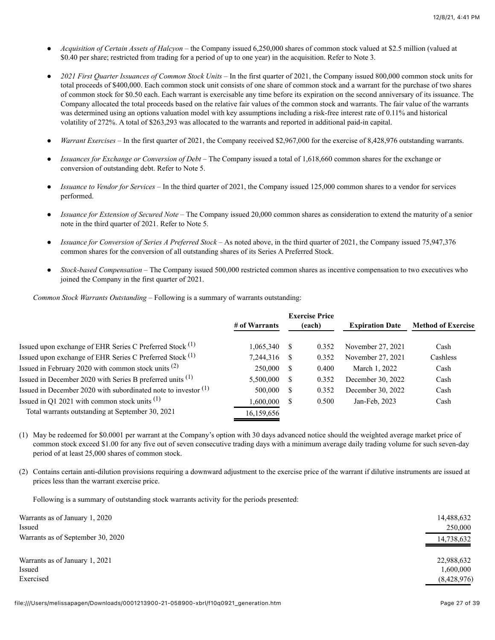- *Acquisition of Certain Assets of Halcyon* the Company issued 6,250,000 shares of common stock valued at \$2.5 million (valued at \$0.40 per share; restricted from trading for a period of up to one year) in the acquisition. Refer to Note 3.
- *2021 First Quarter Issuances of Common Stock Units* In the first quarter of 2021, the Company issued 800,000 common stock units for total proceeds of \$400,000. Each common stock unit consists of one share of common stock and a warrant for the purchase of two shares of common stock for \$0.50 each. Each warrant is exercisable any time before its expiration on the second anniversary of its issuance. The Company allocated the total proceeds based on the relative fair values of the common stock and warrants. The fair value of the warrants was determined using an options valuation model with key assumptions including a risk-free interest rate of 0.11% and historical volatility of 272%. A total of \$263,293 was allocated to the warrants and reported in additional paid-in capital.
- *Warrant Exercises* In the first quarter of 2021, the Company received \$2,967,000 for the exercise of 8,428,976 outstanding warrants.
- *Issuances for Exchange or Conversion of Debt* The Company issued a total of 1,618,660 common shares for the exchange or conversion of outstanding debt. Refer to Note 5.
- *Issuance to Vendor for Services* In the third quarter of 2021, the Company issued 125,000 common shares to a vendor for services performed.
- *Issuance for Extension of Secured Note* The Company issued 20,000 common shares as consideration to extend the maturity of a senior note in the third quarter of 2021. Refer to Note 5.
- *Issuance for Conversion of Series A Preferred Stock*  As noted above, in the third quarter of 2021, the Company issued 75,947,376 common shares for the conversion of all outstanding shares of its Series A Preferred Stock.
- *Stock-based Compensation* The Company issued 500,000 restricted common shares as incentive compensation to two executives who joined the Company in the first quarter of 2021.

*Common Stock Warrants Outstanding –* Following is a summary of warrants outstanding:

|                                                                     |               |     | <b>Exercise Price</b> |                        |                           |
|---------------------------------------------------------------------|---------------|-----|-----------------------|------------------------|---------------------------|
|                                                                     | # of Warrants |     | (each)                | <b>Expiration Date</b> | <b>Method of Exercise</b> |
| Issued upon exchange of EHR Series C Preferred Stock <sup>(1)</sup> | 1.065.340     | \$. | 0.352                 | November 27, 2021      | Cash                      |
| Issued upon exchange of EHR Series C Preferred Stock <sup>(1)</sup> | 7,244,316     | -S  | 0.352                 | November 27, 2021      | Cashless                  |
| Issued in February 2020 with common stock units $(2)$               | 250,000       | S   | 0.400                 | March 1, 2022          | Cash                      |
| Issued in December 2020 with Series B preferred units $(1)$         | 5,500,000     | \$. | 0.352                 | December 30, 2022      | Cash                      |
| Issued in December 2020 with subordinated note to investor $(1)$    | 500,000       | \$. | 0.352                 | December 30, 2022      | Cash                      |
| Issued in Q1 2021 with common stock units $(1)$                     | .600,000      | \$  | 0.500                 | Jan-Feb, 2023          | Cash                      |
| Total warrants outstanding at September 30, 2021                    | 16,159,656    |     |                       |                        |                           |

(1) May be redeemed for \$0.0001 per warrant at the Company's option with 30 days advanced notice should the weighted average market price of common stock exceed \$1.00 for any five out of seven consecutive trading days with a minimum average daily trading volume for such seven-day period of at least 25,000 shares of common stock.

(2) Contains certain anti-dilution provisions requiring a downward adjustment to the exercise price of the warrant if dilutive instruments are issued at prices less than the warrant exercise price.

Following is a summary of outstanding stock warrants activity for the periods presented:

| Warrants as of January 1, 2020    | 14,488,632  |
|-----------------------------------|-------------|
| Issued                            | 250,000     |
| Warrants as of September 30, 2020 | 14,738,632  |
| Warrants as of January 1, 2021    | 22,988,632  |
| Issued                            | 1,600,000   |
| Exercised                         | (8,428,976) |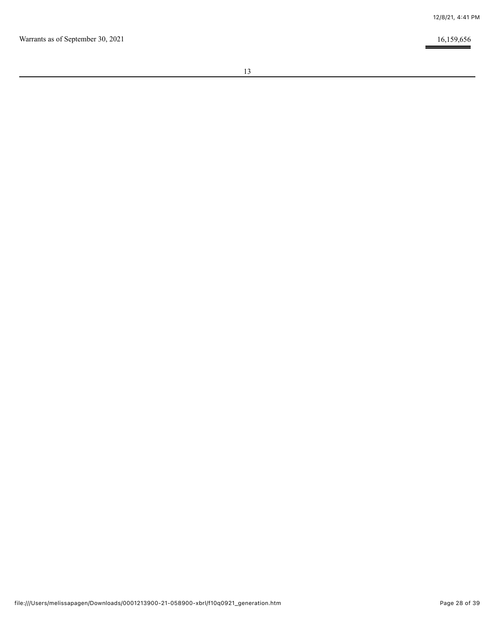۰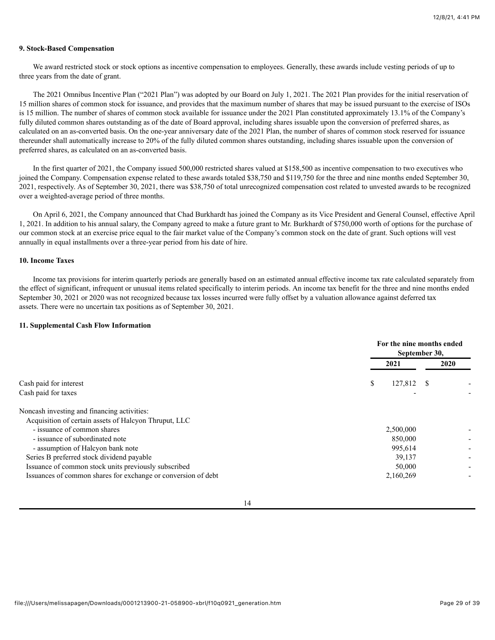### **9. Stock-Based Compensation**

We award restricted stock or stock options as incentive compensation to employees. Generally, these awards include vesting periods of up to three years from the date of grant.

The 2021 Omnibus Incentive Plan ("2021 Plan") was adopted by our Board on July 1, 2021. The 2021 Plan provides for the initial reservation of 15 million shares of common stock for issuance, and provides that the maximum number of shares that may be issued pursuant to the exercise of ISOs is 15 million. The number of shares of common stock available for issuance under the 2021 Plan constituted approximately 13.1% of the Company's fully diluted common shares outstanding as of the date of Board approval, including shares issuable upon the conversion of preferred shares, as calculated on an as-converted basis. On the one-year anniversary date of the 2021 Plan, the number of shares of common stock reserved for issuance thereunder shall automatically increase to 20% of the fully diluted common shares outstanding, including shares issuable upon the conversion of preferred shares, as calculated on an as-converted basis.

In the first quarter of 2021, the Company issued 500,000 restricted shares valued at \$158,500 as incentive compensation to two executives who joined the Company. Compensation expense related to these awards totaled \$38,750 and \$119,750 for the three and nine months ended September 30, 2021, respectively. As of September 30, 2021, there was \$38,750 of total unrecognized compensation cost related to unvested awards to be recognized over a weighted-average period of three months.

On April 6, 2021, the Company announced that Chad Burkhardt has joined the Company as its Vice President and General Counsel, effective April 1, 2021. In addition to his annual salary, the Company agreed to make a future grant to Mr. Burkhardt of \$750,000 worth of options for the purchase of our common stock at an exercise price equal to the fair market value of the Company's common stock on the date of grant. Such options will vest annually in equal installments over a three-year period from his date of hire.

### **10. Income Taxes**

Income tax provisions for interim quarterly periods are generally based on an estimated annual effective income tax rate calculated separately from the effect of significant, infrequent or unusual items related specifically to interim periods. An income tax benefit for the three and nine months ended September 30, 2021 or 2020 was not recognized because tax losses incurred were fully offset by a valuation allowance against deferred tax assets. There were no uncertain tax positions as of September 30, 2021.

#### **11. Supplemental Cash Flow Information**

|                                                               | For the nine months ended<br>September 30, |      |
|---------------------------------------------------------------|--------------------------------------------|------|
|                                                               | 2021                                       | 2020 |
| Cash paid for interest                                        | 127,812<br>\$                              | -S   |
| Cash paid for taxes                                           |                                            |      |
| Noncash investing and financing activities:                   |                                            |      |
| Acquisition of certain assets of Halcyon Thruput, LLC         |                                            |      |
| - issuance of common shares                                   | 2,500,000                                  |      |
| - issuance of subordinated note                               | 850,000                                    |      |
| - assumption of Halcyon bank note                             | 995,614                                    |      |
| Series B preferred stock dividend payable                     | 39,137                                     |      |
| Issuance of common stock units previously subscribed          | 50,000                                     |      |
| Issuances of common shares for exchange or conversion of debt | 2,160,269                                  |      |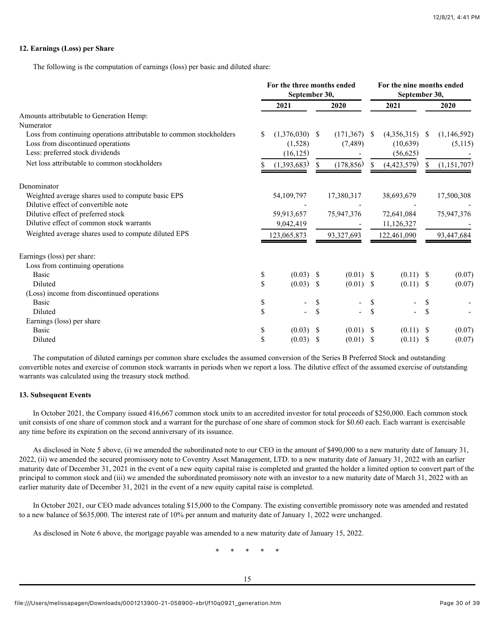## **12. Earnings (Loss) per Share**

The following is the computation of earnings (loss) per basic and diluted share:

|                                                                     |    | For the three months ended<br>September 30, |                                                                       |             | For the nine months ended<br>September 30, |                          |               |             |
|---------------------------------------------------------------------|----|---------------------------------------------|-----------------------------------------------------------------------|-------------|--------------------------------------------|--------------------------|---------------|-------------|
|                                                                     |    | 2021                                        |                                                                       | 2020        |                                            | 2021                     |               | 2020        |
| Amounts attributable to Generation Hemp:                            |    |                                             |                                                                       |             |                                            |                          |               |             |
| Numerator                                                           |    |                                             |                                                                       |             |                                            |                          |               |             |
| Loss from continuing operations attributable to common stockholders | S. | $(1,376,030)$ \$                            |                                                                       | (171, 367)  | -S                                         | $(4,356,315)$ \$         |               | (1,146,592) |
| Loss from discontinued operations                                   |    | (1,528)                                     |                                                                       | (7, 489)    |                                            | (10,639)                 |               | (5,115)     |
| Less: preferred stock dividends                                     |    | (16, 125)                                   |                                                                       |             |                                            | (56, 625)                |               |             |
| Net loss attributable to common stockholders                        |    | (1,393,683)                                 | S.                                                                    | (178, 856)  | S                                          | (4,423,579)              | S             | (1,151,707) |
| Denominator                                                         |    |                                             |                                                                       |             |                                            |                          |               |             |
| Weighted average shares used to compute basic EPS                   |    | 54,109,797                                  |                                                                       | 17,380,317  |                                            | 38,693,679               |               | 17,500,308  |
| Dilutive effect of convertible note                                 |    |                                             |                                                                       |             |                                            |                          |               |             |
| Dilutive effect of preferred stock                                  |    | 59,913,657                                  |                                                                       | 75,947,376  |                                            | 72,641,084               |               | 75,947,376  |
| Dilutive effect of common stock warrants                            |    | 9,042,419                                   |                                                                       |             |                                            | 11,126,327               |               |             |
| Weighted average shares used to compute diluted EPS                 |    | 123,065,873                                 |                                                                       | 93,327,693  |                                            | 122,461,090              |               | 93,447,684  |
| Earnings (loss) per share:                                          |    |                                             |                                                                       |             |                                            |                          |               |             |
| Loss from continuing operations                                     |    |                                             |                                                                       |             |                                            |                          |               |             |
| <b>Basic</b>                                                        | \$ | $(0.03)$ \$                                 |                                                                       | $(0.01)$ \$ |                                            | $(0.11)$ \$              |               | (0.07)      |
| Diluted                                                             | \$ | (0.03)                                      | S                                                                     | $(0.01)$ \$ |                                            | (0.11)                   | <sup>\$</sup> | (0.07)      |
| (Loss) income from discontinued operations                          |    |                                             |                                                                       |             |                                            |                          |               |             |
| <b>Basic</b>                                                        | \$ | $\overline{\phantom{0}}$                    | \$                                                                    |             | S                                          |                          | S             |             |
| Diluted                                                             | \$ | $\overline{\phantom{a}}$                    | $\mathbb{S}% _{t}\left( t\right) \equiv\mathbb{S}_{t}\left( t\right)$ |             | \$                                         | $\overline{\phantom{0}}$ | $\mathbb S$   |             |
| Earnings (loss) per share                                           |    |                                             |                                                                       |             |                                            |                          |               |             |
| <b>Basic</b>                                                        | \$ | (0.03)                                      | -S                                                                    | $(0.01)$ \$ |                                            | (0.11)                   | - \$          | (0.07)      |
| Diluted                                                             | \$ | (0.03)                                      | \$                                                                    | $(0.01)$ \$ |                                            | (0.11)                   | - S           | (0.07)      |

The computation of diluted earnings per common share excludes the assumed conversion of the Series B Preferred Stock and outstanding convertible notes and exercise of common stock warrants in periods when we report a loss. The dilutive effect of the assumed exercise of outstanding warrants was calculated using the treasury stock method.

# **13. Subsequent Events**

In October 2021, the Company issued 416,667 common stock units to an accredited investor for total proceeds of \$250,000. Each common stock unit consists of one share of common stock and a warrant for the purchase of one share of common stock for \$0.60 each. Each warrant is exercisable any time before its expiration on the second anniversary of its issuance.

As disclosed in Note 5 above, (i) we amended the subordinated note to our CEO in the amount of \$490,000 to a new maturity date of January 31, 2022, (ii) we amended the secured promissory note to Coventry Asset Management, LTD. to a new maturity date of January 31, 2022 with an earlier maturity date of December 31, 2021 in the event of a new equity capital raise is completed and granted the holder a limited option to convert part of the principal to common stock and (iii) we amended the subordinated promissory note with an investor to a new maturity date of March 31, 2022 with an earlier maturity date of December 31, 2021 in the event of a new equity capital raise is completed.

In October 2021, our CEO made advances totaling \$15,000 to the Company. The existing convertible promissory note was amended and restated to a new balance of \$635,000. The interest rate of 10% per annum and maturity date of January 1, 2022 were unchanged.

As disclosed in Note 6 above, the mortgage payable was amended to a new maturity date of January 15, 2022.

\* \* \* \* \*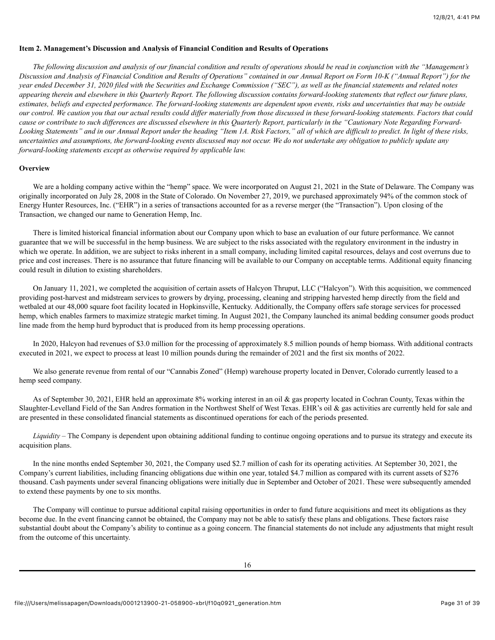### <span id="page-30-0"></span>**Item 2. Management's Discussion and Analysis of Financial Condition and Results of Operations**

*The following discussion and analysis of our financial condition and results of operations should be read in conjunction with the "Management's Discussion and Analysis of Financial Condition and Results of Operations" contained in our Annual Report on Form 10-K ("Annual Report") for the year ended December 31, 2020 filed with the Securities and Exchange Commission ("SEC"), as well as the financial statements and related notes appearing therein and elsewhere in this Quarterly Report. The following discussion contains forward-looking statements that reflect our future plans, estimates, beliefs and expected performance. The forward-looking statements are dependent upon events, risks and uncertainties that may be outside our control. We caution you that our actual results could differ materially from those discussed in these forward-looking statements. Factors that could cause or contribute to such differences are discussed elsewhere in this Quarterly Report, particularly in the "Cautionary Note Regarding Forward-Looking Statements" and in our Annual Report under the heading "Item 1A. Risk Factors," all of which are difficult to predict. In light of these risks, uncertainties and assumptions, the forward-looking events discussed may not occur. We do not undertake any obligation to publicly update any forward-looking statements except as otherwise required by applicable law.*

### **Overview**

We are a holding company active within the "hemp" space. We were incorporated on August 21, 2021 in the State of Delaware. The Company was originally incorporated on July 28, 2008 in the State of Colorado. On November 27, 2019, we purchased approximately 94% of the common stock of Energy Hunter Resources, Inc. ("EHR") in a series of transactions accounted for as a reverse merger (the "Transaction"). Upon closing of the Transaction, we changed our name to Generation Hemp, Inc.

There is limited historical financial information about our Company upon which to base an evaluation of our future performance. We cannot guarantee that we will be successful in the hemp business. We are subject to the risks associated with the regulatory environment in the industry in which we operate. In addition, we are subject to risks inherent in a small company, including limited capital resources, delays and cost overruns due to price and cost increases. There is no assurance that future financing will be available to our Company on acceptable terms. Additional equity financing could result in dilution to existing shareholders.

On January 11, 2021, we completed the acquisition of certain assets of Halcyon Thruput, LLC ("Halcyon"). With this acquisition, we commenced providing post-harvest and midstream services to growers by drying, processing, cleaning and stripping harvested hemp directly from the field and wetbaled at our 48,000 square foot facility located in Hopkinsville, Kentucky. Additionally, the Company offers safe storage services for processed hemp, which enables farmers to maximize strategic market timing. In August 2021, the Company launched its animal bedding consumer goods product line made from the hemp hurd byproduct that is produced from its hemp processing operations.

In 2020, Halcyon had revenues of \$3.0 million for the processing of approximately 8.5 million pounds of hemp biomass. With additional contracts executed in 2021, we expect to process at least 10 million pounds during the remainder of 2021 and the first six months of 2022.

We also generate revenue from rental of our "Cannabis Zoned" (Hemp) warehouse property located in Denver, Colorado currently leased to a hemp seed company.

As of September 30, 2021, EHR held an approximate 8% working interest in an oil & gas property located in Cochran County, Texas within the Slaughter-Levelland Field of the San Andres formation in the Northwest Shelf of West Texas. EHR's oil & gas activities are currently held for sale and are presented in these consolidated financial statements as discontinued operations for each of the periods presented.

*Liquidity –* The Company is dependent upon obtaining additional funding to continue ongoing operations and to pursue its strategy and execute its acquisition plans.

In the nine months ended September 30, 2021, the Company used \$2.7 million of cash for its operating activities. At September 30, 2021, the Company's current liabilities, including financing obligations due within one year, totaled \$4.7 million as compared with its current assets of \$276 thousand. Cash payments under several financing obligations were initially due in September and October of 2021. These were subsequently amended to extend these payments by one to six months.

The Company will continue to pursue additional capital raising opportunities in order to fund future acquisitions and meet its obligations as they become due. In the event financing cannot be obtained, the Company may not be able to satisfy these plans and obligations. These factors raise substantial doubt about the Company's ability to continue as a going concern. The financial statements do not include any adjustments that might result from the outcome of this uncertainty.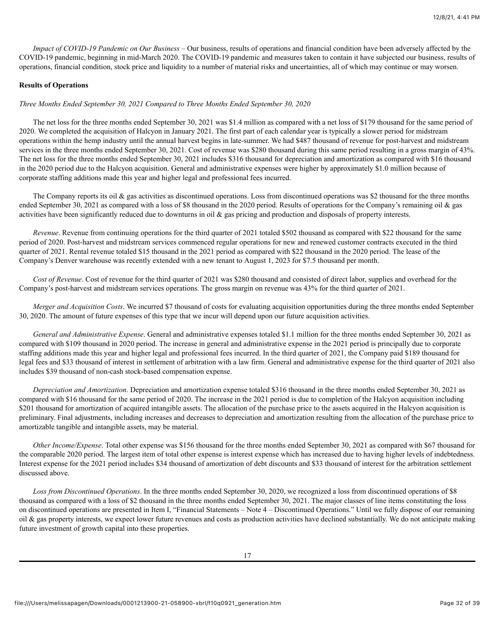*Impact of COVID-19 Pandemic on Our Business* – Our business, results of operations and financial condition have been adversely affected by the COVID-19 pandemic, beginning in mid-March 2020. The COVID-19 pandemic and measures taken to contain it have subjected our business, results of operations, financial condition, stock price and liquidity to a number of material risks and uncertainties, all of which may continue or may worsen.

### **Results of Operations**

*Three Months Ended September 30, 2021 Compared to Three Months Ended September 30, 2020*

The net loss for the three months ended September 30, 2021 was \$1.4 million as compared with a net loss of \$179 thousand for the same period of 2020. We completed the acquisition of Halcyon in January 2021. The first part of each calendar year is typically a slower period for midstream operations within the hemp industry until the annual harvest begins in late-summer. We had \$487 thousand of revenue for post-harvest and midstream services in the three months ended September 30, 2021. Cost of revenue was \$280 thousand during this same period resulting in a gross margin of 43%. The net loss for the three months ended September 30, 2021 includes \$316 thousand for depreciation and amortization as compared with \$16 thousand in the 2020 period due to the Halcyon acquisition. General and administrative expenses were higher by approximately \$1.0 million because of corporate staffing additions made this year and higher legal and professional fees incurred.

The Company reports its oil  $\&$  gas activities as discontinued operations. Loss from discontinued operations was \$2 thousand for the three months ended September 30, 2021 as compared with a loss of \$8 thousand in the 2020 period. Results of operations for the Company's remaining oil & gas activities have been significantly reduced due to downturns in oil  $\&$  gas pricing and production and disposals of property interests.

*Revenue*. Revenue from continuing operations for the third quarter of 2021 totaled \$502 thousand as compared with \$22 thousand for the same period of 2020. Post-harvest and midstream services commenced regular operations for new and renewed customer contracts executed in the third quarter of 2021. Rental revenue totaled \$15 thousand in the 2021 period as compared with \$22 thousand in the 2020 period. The lease of the Company's Denver warehouse was recently extended with a new tenant to August 1, 2023 for \$7.5 thousand per month.

*Cost of Revenue*. Cost of revenue for the third quarter of 2021 was \$280 thousand and consisted of direct labor, supplies and overhead for the Company's post-harvest and midstream services operations. The gross margin on revenue was 43% for the third quarter of 2021.

*Merger and Acquisition Costs*. We incurred \$7 thousand of costs for evaluating acquisition opportunities during the three months ended September 30, 2020. The amount of future expenses of this type that we incur will depend upon our future acquisition activities.

*General and Administrative Expense*. General and administrative expenses totaled \$1.1 million for the three months ended September 30, 2021 as compared with \$109 thousand in 2020 period. The increase in general and administrative expense in the 2021 period is principally due to corporate staffing additions made this year and higher legal and professional fees incurred. In the third quarter of 2021, the Company paid \$189 thousand for legal fees and \$33 thousand of interest in settlement of arbitration with a law firm. General and administrative expense for the third quarter of 2021 also includes \$39 thousand of non-cash stock-based compensation expense.

*Depreciation and Amortization*. Depreciation and amortization expense totaled \$316 thousand in the three months ended September 30, 2021 as compared with \$16 thousand for the same period of 2020. The increase in the 2021 period is due to completion of the Halcyon acquisition including \$201 thousand for amortization of acquired intangible assets. The allocation of the purchase price to the assets acquired in the Halcyon acquisition is preliminary. Final adjustments, including increases and decreases to depreciation and amortization resulting from the allocation of the purchase price to amortizable tangible and intangible assets, may be material.

*Other Income/Expense*. Total other expense was \$156 thousand for the three months ended September 30, 2021 as compared with \$67 thousand for the comparable 2020 period. The largest item of total other expense is interest expense which has increased due to having higher levels of indebtedness. Interest expense for the 2021 period includes \$34 thousand of amortization of debt discounts and \$33 thousand of interest for the arbitration settlement discussed above.

*Loss from Discontinued Operations*. In the three months ended September 30, 2020, we recognized a loss from discontinued operations of \$8 thousand as compared with a loss of \$2 thousand in the three months ended September 30, 2021. The major classes of line items constituting the loss on discontinued operations are presented in Item I, "Financial Statements – Note 4 – Discontinued Operations." Until we fully dispose of our remaining oil  $\&$  gas property interests, we expect lower future revenues and costs as production activities have declined substantially. We do not anticipate making future investment of growth capital into these properties.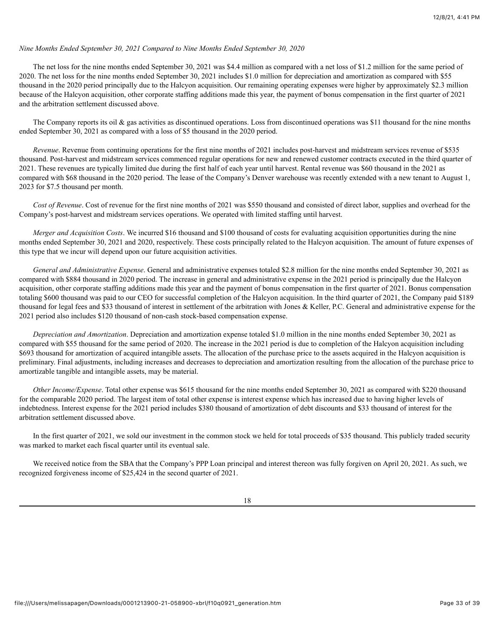### *Nine Months Ended September 30, 2021 Compared to Nine Months Ended September 30, 2020*

The net loss for the nine months ended September 30, 2021 was \$4.4 million as compared with a net loss of \$1.2 million for the same period of 2020. The net loss for the nine months ended September 30, 2021 includes \$1.0 million for depreciation and amortization as compared with \$55 thousand in the 2020 period principally due to the Halcyon acquisition. Our remaining operating expenses were higher by approximately \$2.3 million because of the Halcyon acquisition, other corporate staffing additions made this year, the payment of bonus compensation in the first quarter of 2021 and the arbitration settlement discussed above.

The Company reports its oil  $\&$  gas activities as discontinued operations. Loss from discontinued operations was \$11 thousand for the nine months ended September 30, 2021 as compared with a loss of \$5 thousand in the 2020 period.

*Revenue*. Revenue from continuing operations for the first nine months of 2021 includes post-harvest and midstream services revenue of \$535 thousand. Post-harvest and midstream services commenced regular operations for new and renewed customer contracts executed in the third quarter of 2021. These revenues are typically limited due during the first half of each year until harvest. Rental revenue was \$60 thousand in the 2021 as compared with \$68 thousand in the 2020 period. The lease of the Company's Denver warehouse was recently extended with a new tenant to August 1, 2023 for \$7.5 thousand per month.

*Cost of Revenue*. Cost of revenue for the first nine months of 2021 was \$550 thousand and consisted of direct labor, supplies and overhead for the Company's post-harvest and midstream services operations. We operated with limited staffing until harvest.

*Merger and Acquisition Costs*. We incurred \$16 thousand and \$100 thousand of costs for evaluating acquisition opportunities during the nine months ended September 30, 2021 and 2020, respectively. These costs principally related to the Halcyon acquisition. The amount of future expenses of this type that we incur will depend upon our future acquisition activities.

*General and Administrative Expense*. General and administrative expenses totaled \$2.8 million for the nine months ended September 30, 2021 as compared with \$884 thousand in 2020 period. The increase in general and administrative expense in the 2021 period is principally due the Halcyon acquisition, other corporate staffing additions made this year and the payment of bonus compensation in the first quarter of 2021. Bonus compensation totaling \$600 thousand was paid to our CEO for successful completion of the Halcyon acquisition. In the third quarter of 2021, the Company paid \$189 thousand for legal fees and \$33 thousand of interest in settlement of the arbitration with Jones & Keller, P.C. General and administrative expense for the 2021 period also includes \$120 thousand of non-cash stock-based compensation expense.

*Depreciation and Amortization*. Depreciation and amortization expense totaled \$1.0 million in the nine months ended September 30, 2021 as compared with \$55 thousand for the same period of 2020. The increase in the 2021 period is due to completion of the Halcyon acquisition including \$693 thousand for amortization of acquired intangible assets. The allocation of the purchase price to the assets acquired in the Halcyon acquisition is preliminary. Final adjustments, including increases and decreases to depreciation and amortization resulting from the allocation of the purchase price to amortizable tangible and intangible assets, may be material.

*Other Income/Expense*. Total other expense was \$615 thousand for the nine months ended September 30, 2021 as compared with \$220 thousand for the comparable 2020 period. The largest item of total other expense is interest expense which has increased due to having higher levels of indebtedness. Interest expense for the 2021 period includes \$380 thousand of amortization of debt discounts and \$33 thousand of interest for the arbitration settlement discussed above.

In the first quarter of 2021, we sold our investment in the common stock we held for total proceeds of \$35 thousand. This publicly traded security was marked to market each fiscal quarter until its eventual sale.

We received notice from the SBA that the Company's PPP Loan principal and interest thereon was fully forgiven on April 20, 2021. As such, we recognized forgiveness income of \$25,424 in the second quarter of 2021.

18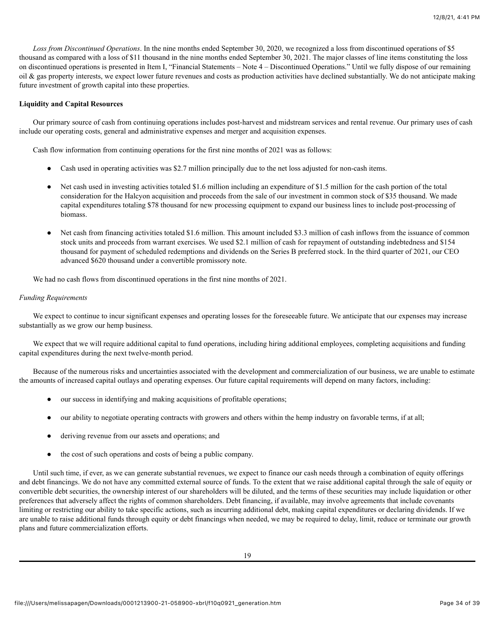*Loss from Discontinued Operations*. In the nine months ended September 30, 2020, we recognized a loss from discontinued operations of \$5 thousand as compared with a loss of \$11 thousand in the nine months ended September 30, 2021. The major classes of line items constituting the loss on discontinued operations is presented in Item I, "Financial Statements – Note 4 – Discontinued Operations." Until we fully dispose of our remaining oil  $\&$  gas property interests, we expect lower future revenues and costs as production activities have declined substantially. We do not anticipate making future investment of growth capital into these properties.

### **Liquidity and Capital Resources**

Our primary source of cash from continuing operations includes post-harvest and midstream services and rental revenue. Our primary uses of cash include our operating costs, general and administrative expenses and merger and acquisition expenses.

Cash flow information from continuing operations for the first nine months of 2021 was as follows:

- Cash used in operating activities was \$2.7 million principally due to the net loss adjusted for non-cash items.
- Net cash used in investing activities totaled \$1.6 million including an expenditure of \$1.5 million for the cash portion of the total consideration for the Halcyon acquisition and proceeds from the sale of our investment in common stock of \$35 thousand. We made capital expenditures totaling \$78 thousand for new processing equipment to expand our business lines to include post-processing of biomass.
- Net cash from financing activities totaled \$1.6 million. This amount included \$3.3 million of cash inflows from the issuance of common stock units and proceeds from warrant exercises. We used \$2.1 million of cash for repayment of outstanding indebtedness and \$154 thousand for payment of scheduled redemptions and dividends on the Series B preferred stock. In the third quarter of 2021, our CEO advanced \$620 thousand under a convertible promissory note.

We had no cash flows from discontinued operations in the first nine months of 2021.

## *Funding Requirements*

We expect to continue to incur significant expenses and operating losses for the foreseeable future. We anticipate that our expenses may increase substantially as we grow our hemp business.

We expect that we will require additional capital to fund operations, including hiring additional employees, completing acquisitions and funding capital expenditures during the next twelve-month period.

Because of the numerous risks and uncertainties associated with the development and commercialization of our business, we are unable to estimate the amounts of increased capital outlays and operating expenses. Our future capital requirements will depend on many factors, including:

- our success in identifying and making acquisitions of profitable operations;
- our ability to negotiate operating contracts with growers and others within the hemp industry on favorable terms, if at all;
- deriving revenue from our assets and operations; and
- the cost of such operations and costs of being a public company.

Until such time, if ever, as we can generate substantial revenues, we expect to finance our cash needs through a combination of equity offerings and debt financings. We do not have any committed external source of funds. To the extent that we raise additional capital through the sale of equity or convertible debt securities, the ownership interest of our shareholders will be diluted, and the terms of these securities may include liquidation or other preferences that adversely affect the rights of common shareholders. Debt financing, if available, may involve agreements that include covenants limiting or restricting our ability to take specific actions, such as incurring additional debt, making capital expenditures or declaring dividends. If we are unable to raise additional funds through equity or debt financings when needed, we may be required to delay, limit, reduce or terminate our growth plans and future commercialization efforts.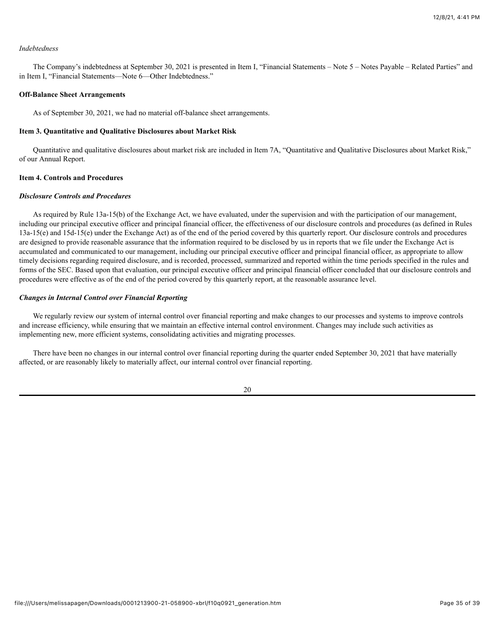# *Indebtedness*

The Company's indebtedness at September 30, 2021 is presented in Item I, "Financial Statements – Note 5 – Notes Payable – Related Parties" and in Item I, "Financial Statements—Note 6—Other Indebtedness."

### **Off-Balance Sheet Arrangements**

<span id="page-34-0"></span>As of September 30, 2021, we had no material off-balance sheet arrangements.

#### **Item 3. Quantitative and Qualitative Disclosures about Market Risk**

Quantitative and qualitative disclosures about market risk are included in Item 7A, "Quantitative and Qualitative Disclosures about Market Risk," of our Annual Report.

# <span id="page-34-1"></span>**Item 4. Controls and Procedures**

### *Disclosure Controls and Procedures*

As required by Rule 13a-15(b) of the Exchange Act, we have evaluated, under the supervision and with the participation of our management, including our principal executive officer and principal financial officer, the effectiveness of our disclosure controls and procedures (as defined in Rules 13a-15(e) and 15d-15(e) under the Exchange Act) as of the end of the period covered by this quarterly report. Our disclosure controls and procedures are designed to provide reasonable assurance that the information required to be disclosed by us in reports that we file under the Exchange Act is accumulated and communicated to our management, including our principal executive officer and principal financial officer, as appropriate to allow timely decisions regarding required disclosure, and is recorded, processed, summarized and reported within the time periods specified in the rules and forms of the SEC. Based upon that evaluation, our principal executive officer and principal financial officer concluded that our disclosure controls and procedures were effective as of the end of the period covered by this quarterly report, at the reasonable assurance level.

# *Changes in Internal Control over Financial Reporting*

We regularly review our system of internal control over financial reporting and make changes to our processes and systems to improve controls and increase efficiency, while ensuring that we maintain an effective internal control environment. Changes may include such activities as implementing new, more efficient systems, consolidating activities and migrating processes.

There have been no changes in our internal control over financial reporting during the quarter ended September 30, 2021 that have materially affected, or are reasonably likely to materially affect, our internal control over financial reporting.

20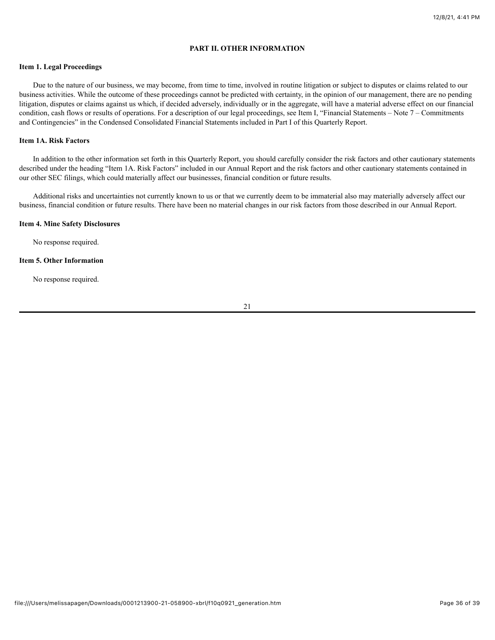# **PART II. OTHER INFORMATION**

### <span id="page-35-1"></span><span id="page-35-0"></span>**Item 1. Legal Proceedings**

Due to the nature of our business, we may become, from time to time, involved in routine litigation or subject to disputes or claims related to our business activities. While the outcome of these proceedings cannot be predicted with certainty, in the opinion of our management, there are no pending litigation, disputes or claims against us which, if decided adversely, individually or in the aggregate, will have a material adverse effect on our financial condition, cash flows or results of operations. For a description of our legal proceedings, see Item I, "Financial Statements – Note 7 – Commitments and Contingencies" in the Condensed Consolidated Financial Statements included in Part I of this Quarterly Report.

## <span id="page-35-2"></span>**Item 1A. Risk Factors**

In addition to the other information set forth in this Quarterly Report, you should carefully consider the risk factors and other cautionary statements described under the heading "Item 1A. Risk Factors" included in our Annual Report and the risk factors and other cautionary statements contained in our other SEC filings, which could materially affect our businesses, financial condition or future results.

Additional risks and uncertainties not currently known to us or that we currently deem to be immaterial also may materially adversely affect our business, financial condition or future results. There have been no material changes in our risk factors from those described in our Annual Report.

### <span id="page-35-3"></span>**Item 4. Mine Safety Disclosures**

No response required.

## **Item 5. Other Information**

No response required.

21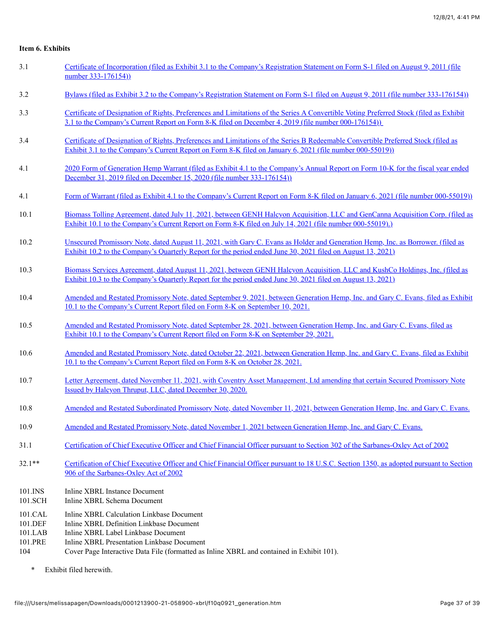# <span id="page-36-0"></span>**Item 6. Exhibits**

| 3.1                                             | Certificate of Incorporation (filed as Exhibit 3.1 to the Company's Registration Statement on Form S-1 filed on August 9, 2011 (file<br>number 333-176154))                                                                                                             |
|-------------------------------------------------|-------------------------------------------------------------------------------------------------------------------------------------------------------------------------------------------------------------------------------------------------------------------------|
| 3.2                                             | Bylaws (filed as Exhibit 3.2 to the Company's Registration Statement on Form S-1 filed on August 9, 2011 (file number 333-176154))                                                                                                                                      |
| 3.3                                             | Certificate of Designation of Rights, Preferences and Limitations of the Series A Convertible Voting Preferred Stock (filed as Exhibit<br>3.1 to the Company's Current Report on Form 8-K filed on December 4, 2019 (file number 000-176154))                           |
| 3.4                                             | Certificate of Designation of Rights, Preferences and Limitations of the Series B Redeemable Convertible Preferred Stock (filed as<br>Exhibit 3.1 to the Company's Current Report on Form 8-K filed on January 6, 2021 (file number 000-55019))                         |
| 4.1                                             | 2020 Form of Generation Hemp Warrant (filed as Exhibit 4.1 to the Company's Annual Report on Form 10-K for the fiscal year ended<br>December 31, 2019 filed on December 15, 2020 (file number 333-176154))                                                              |
| 4.1                                             | Form of Warrant (filed as Exhibit 4.1 to the Company's Current Report on Form 8-K filed on January 6, 2021 (file number 000-55019))                                                                                                                                     |
| 10.1                                            | Biomass Tolling Agreement, dated July 11, 2021, between GENH Halcyon Acquisition, LLC and GenCanna Acquisition Corp. (filed as<br>Exhibit 10.1 to the Company's Current Report on Form 8-K filed on July 14, 2021 (file number 000-55019).)                             |
| 10.2                                            | Unsecured Promissory Note, dated August 11, 2021, with Gary C. Evans as Holder and Generation Hemp, Inc. as Borrower. (filed as<br>Exhibit 10.2 to the Company's Quarterly Report for the period ended June 30, 2021 filed on August 13, 2021)                          |
| 10.3                                            | Biomass Services Agreement, dated August 11, 2021, between GENH Halcyon Acquisition, LLC and KushCo Holdings, Inc. (filed as<br>Exhibit 10.3 to the Company's Quarterly Report for the period ended June 30, 2021 filed on August 13, 2021)                             |
| 10.4                                            | Amended and Restated Promissory Note, dated September 9, 2021, between Generation Hemp, Inc. and Gary C. Evans, filed as Exhibit<br>10.1 to the Company's Current Report filed on Form 8-K on September 10, 2021.                                                       |
| 10.5                                            | Amended and Restated Promissory Note, dated September 28, 2021, between Generation Hemp, Inc. and Gary C. Evans, filed as<br>Exhibit 10.1 to the Company's Current Report filed on Form 8-K on September 29, 2021.                                                      |
| 10.6                                            | Amended and Restated Promissory Note, dated October 22, 2021, between Generation Hemp, Inc. and Gary C. Evans, filed as Exhibit<br>10.1 to the Company's Current Report filed on Form 8-K on October 28, 2021.                                                          |
| 10.7                                            | Letter Agreement, dated November 11, 2021, with Coventry Asset Management, Ltd amending that certain Secured Promissory Note<br>Issued by Halcyon Thruput, LLC, dated December 30, 2020.                                                                                |
| 10.8                                            | Amended and Restated Subordinated Promissory Note, dated November 11, 2021, between Generation Hemp, Inc. and Gary C. Evans.                                                                                                                                            |
| 10.9                                            | Amended and Restated Promissory Note, dated November 1, 2021 between Generation Hemp, Inc. and Gary C. Evans.                                                                                                                                                           |
| 31.1                                            | Certification of Chief Executive Officer and Chief Financial Officer pursuant to Section 302 of the Sarbanes-Oxley Act of 2002                                                                                                                                          |
| $32.1**$                                        | Certification of Chief Executive Officer and Chief Financial Officer pursuant to 18 U.S.C. Section 1350, as adopted pursuant to Section<br>906 of the Sarbanes-Oxley Act of 2002                                                                                        |
| 101.INS<br>101.SCH                              | <b>Inline XBRL Instance Document</b><br>Inline XBRL Schema Document                                                                                                                                                                                                     |
| 101.CAL<br>101.DEF<br>101.LAB<br>101.PRE<br>104 | Inline XBRL Calculation Linkbase Document<br>Inline XBRL Definition Linkbase Document<br>Inline XBRL Label Linkbase Document<br>Inline XBRL Presentation Linkbase Document<br>Cover Page Interactive Data File (formatted as Inline XBRL and contained in Exhibit 101). |

\* Exhibit filed herewith.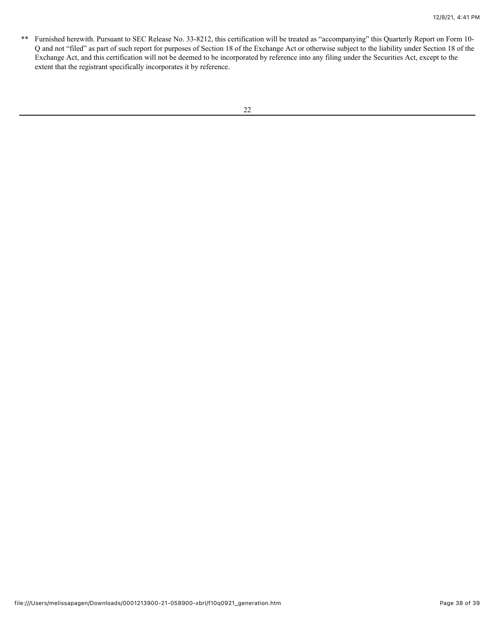\*\* Furnished herewith. Pursuant to SEC Release No. 33-8212, this certification will be treated as "accompanying" this Quarterly Report on Form 10- Q and not "filed" as part of such report for purposes of Section 18 of the Exchange Act or otherwise subject to the liability under Section 18 of the Exchange Act, and this certification will not be deemed to be incorporated by reference into any filing under the Securities Act, except to the extent that the registrant specifically incorporates it by reference.